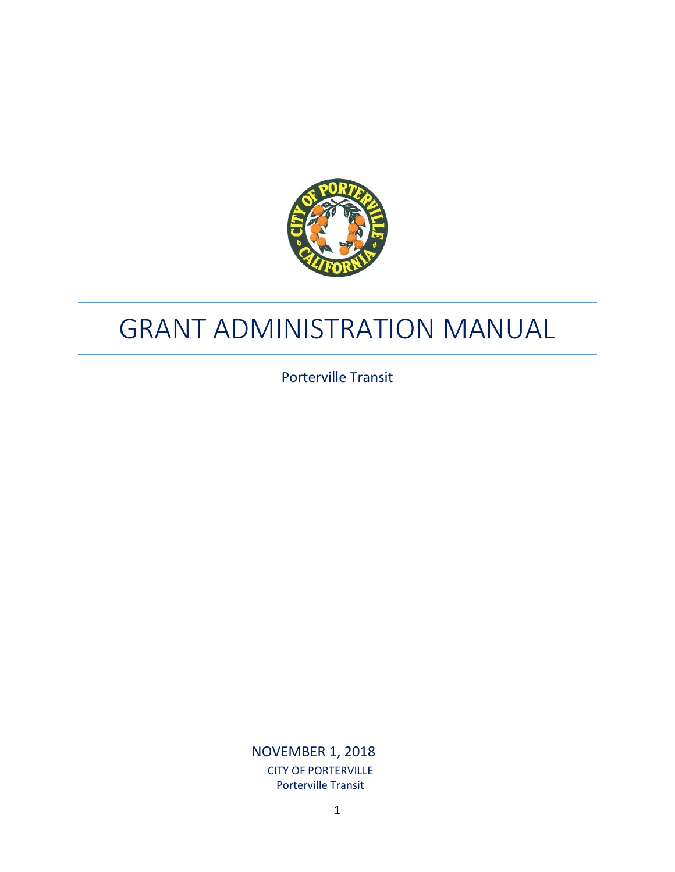

# GRANT ADMINISTRATION MANUAL

Porterville Transit

NOVEMBER 1, 2018 CITY OF PORTERVILLE Porterville Transit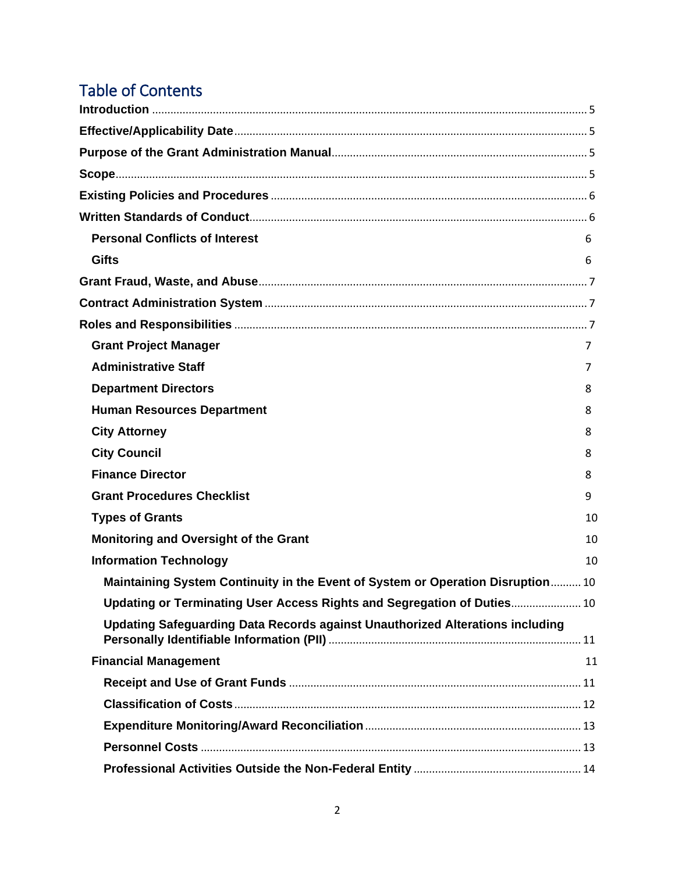## Table of Contents

| <b>Personal Conflicts of Interest</b>                                           | 6  |
|---------------------------------------------------------------------------------|----|
| <b>Gifts</b>                                                                    | 6  |
|                                                                                 |    |
|                                                                                 |    |
|                                                                                 |    |
| <b>Grant Project Manager</b>                                                    | 7  |
| <b>Administrative Staff</b>                                                     | 7  |
| <b>Department Directors</b>                                                     | 8  |
| <b>Human Resources Department</b>                                               | 8  |
| <b>City Attorney</b>                                                            | 8  |
| <b>City Council</b>                                                             | 8  |
| <b>Finance Director</b>                                                         | 8  |
| <b>Grant Procedures Checklist</b>                                               | 9  |
| <b>Types of Grants</b>                                                          | 10 |
| Monitoring and Oversight of the Grant                                           | 10 |
| <b>Information Technology</b>                                                   | 10 |
| Maintaining System Continuity in the Event of System or Operation Disruption 10 |    |
| Updating or Terminating User Access Rights and Segregation of Duties 10         |    |
| Updating Safeguarding Data Records against Unauthorized Alterations including   |    |
| <b>Financial Management</b>                                                     | 11 |
|                                                                                 |    |
|                                                                                 |    |
|                                                                                 |    |
|                                                                                 |    |
|                                                                                 |    |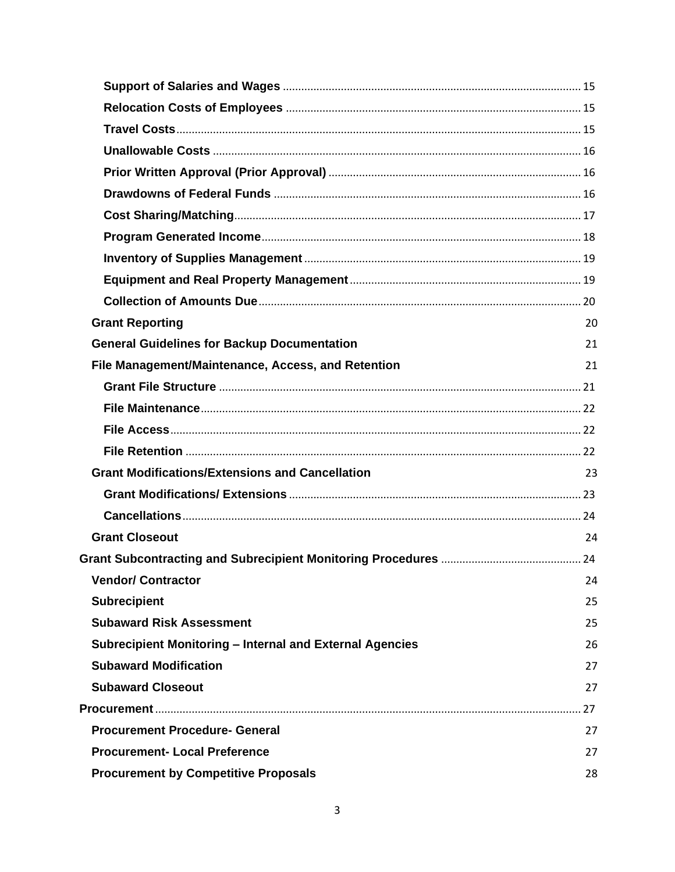| <b>Grant Reporting</b>                                          | 20 |
|-----------------------------------------------------------------|----|
| <b>General Guidelines for Backup Documentation</b>              | 21 |
| File Management/Maintenance, Access, and Retention              | 21 |
|                                                                 |    |
|                                                                 |    |
|                                                                 |    |
|                                                                 |    |
| <b>Grant Modifications/Extensions and Cancellation</b>          | 23 |
|                                                                 |    |
|                                                                 |    |
| <b>Grant Closeout</b>                                           | 24 |
|                                                                 |    |
| <b>Vendor/ Contractor</b>                                       | 24 |
| <b>Subrecipient</b>                                             | 25 |
| <b>Subaward Risk Assessment</b>                                 | 25 |
| <b>Subrecipient Monitoring - Internal and External Agencies</b> | 26 |
| <b>Subaward Modification</b>                                    | 27 |
| <b>Subaward Closeout</b>                                        | 27 |
|                                                                 | 27 |
| <b>Procurement Procedure- General</b>                           | 27 |
| <b>Procurement-Local Preference</b>                             | 27 |
| <b>Procurement by Competitive Proposals</b>                     | 28 |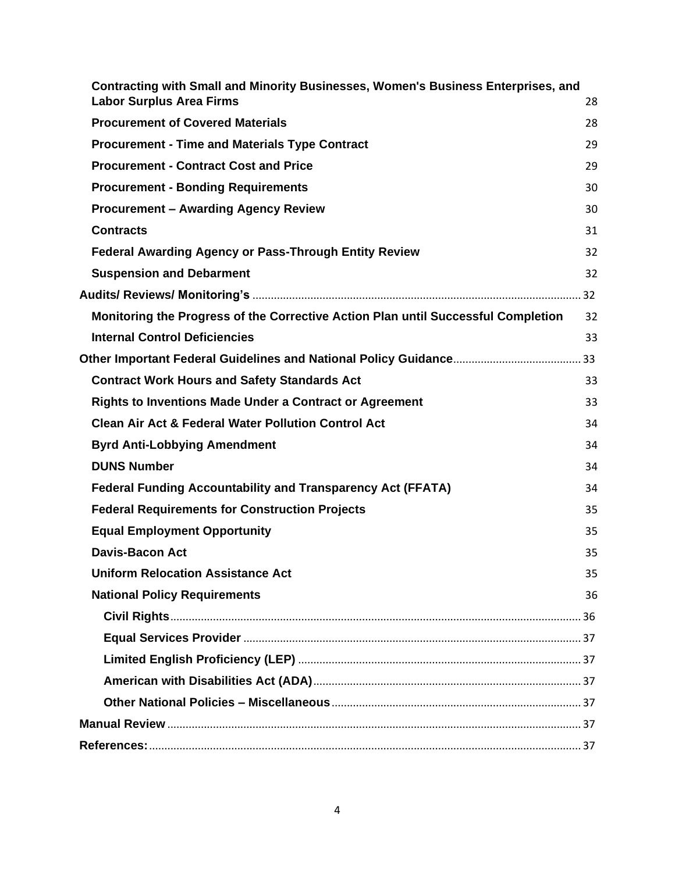| Contracting with Small and Minority Businesses, Women's Business Enterprises, and<br><b>Labor Surplus Area Firms</b> | 28       |
|----------------------------------------------------------------------------------------------------------------------|----------|
| <b>Procurement of Covered Materials</b>                                                                              |          |
|                                                                                                                      | 28<br>29 |
| <b>Procurement - Time and Materials Type Contract</b><br><b>Procurement - Contract Cost and Price</b>                |          |
|                                                                                                                      | 29       |
| <b>Procurement - Bonding Requirements</b>                                                                            | 30       |
| <b>Procurement - Awarding Agency Review</b>                                                                          | 30       |
| <b>Contracts</b>                                                                                                     | 31       |
| <b>Federal Awarding Agency or Pass-Through Entity Review</b>                                                         | 32       |
| <b>Suspension and Debarment</b>                                                                                      | 32       |
|                                                                                                                      |          |
| Monitoring the Progress of the Corrective Action Plan until Successful Completion                                    | 32       |
| <b>Internal Control Deficiencies</b>                                                                                 | 33       |
|                                                                                                                      |          |
| <b>Contract Work Hours and Safety Standards Act</b>                                                                  | 33       |
| <b>Rights to Inventions Made Under a Contract or Agreement</b>                                                       | 33       |
| <b>Clean Air Act &amp; Federal Water Pollution Control Act</b>                                                       | 34       |
| <b>Byrd Anti-Lobbying Amendment</b>                                                                                  | 34       |
| <b>DUNS Number</b>                                                                                                   | 34       |
| <b>Federal Funding Accountability and Transparency Act (FFATA)</b>                                                   | 34       |
| <b>Federal Requirements for Construction Projects</b>                                                                | 35       |
| <b>Equal Employment Opportunity</b>                                                                                  | 35       |
| <b>Davis-Bacon Act</b>                                                                                               | 35       |
| <b>Uniform Relocation Assistance Act</b>                                                                             | 35       |
| <b>National Policy Requirements</b>                                                                                  | 36       |
|                                                                                                                      |          |
|                                                                                                                      |          |
|                                                                                                                      |          |
|                                                                                                                      |          |
|                                                                                                                      |          |
|                                                                                                                      |          |
|                                                                                                                      |          |
|                                                                                                                      |          |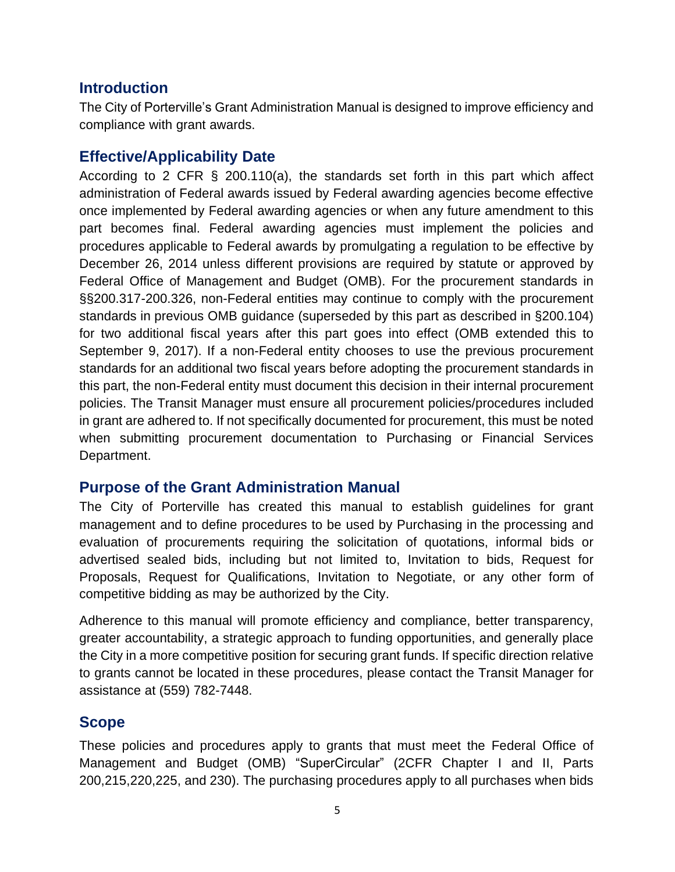## <span id="page-4-0"></span>**Introduction**

The City of Porterville's Grant Administration Manual is designed to improve efficiency and compliance with grant awards.

## <span id="page-4-1"></span>**Effective/Applicability Date**

According to 2 CFR § 200.110(a), the standards set forth in this part which affect administration of Federal awards issued by Federal awarding agencies become effective once implemented by Federal awarding agencies or when any future amendment to this part becomes final. Federal awarding agencies must implement the policies and procedures applicable to Federal awards by promulgating a regulation to be effective by December 26, 2014 unless different provisions are required by statute or approved by Federal Office of Management and Budget (OMB). For the procurement standards in §§200.317-200.326, non-Federal entities may continue to comply with the procurement standards in previous OMB guidance (superseded by this part as described in §200.104) for two additional fiscal years after this part goes into effect (OMB extended this to September 9, 2017). If a non-Federal entity chooses to use the previous procurement standards for an additional two fiscal years before adopting the procurement standards in this part, the non-Federal entity must document this decision in their internal procurement policies. The Transit Manager must ensure all procurement policies/procedures included in grant are adhered to. If not specifically documented for procurement, this must be noted when submitting procurement documentation to Purchasing or Financial Services Department.

## <span id="page-4-2"></span>**Purpose of the Grant Administration Manual**

The City of Porterville has created this manual to establish guidelines for grant management and to define procedures to be used by Purchasing in the processing and evaluation of procurements requiring the solicitation of quotations, informal bids or advertised sealed bids, including but not limited to, Invitation to bids, Request for Proposals, Request for Qualifications, Invitation to Negotiate, or any other form of competitive bidding as may be authorized by the City.

Adherence to this manual will promote efficiency and compliance, better transparency, greater accountability, a strategic approach to funding opportunities, and generally place the City in a more competitive position for securing grant funds. If specific direction relative to grants cannot be located in these procedures, please contact the Transit Manager for assistance at (559) 782-7448.

## <span id="page-4-3"></span>**Scope**

These policies and procedures apply to grants that must meet the Federal Office of Management and Budget (OMB) "SuperCircular" (2CFR Chapter I and II, Parts 200,215,220,225, and 230). The purchasing procedures apply to all purchases when bids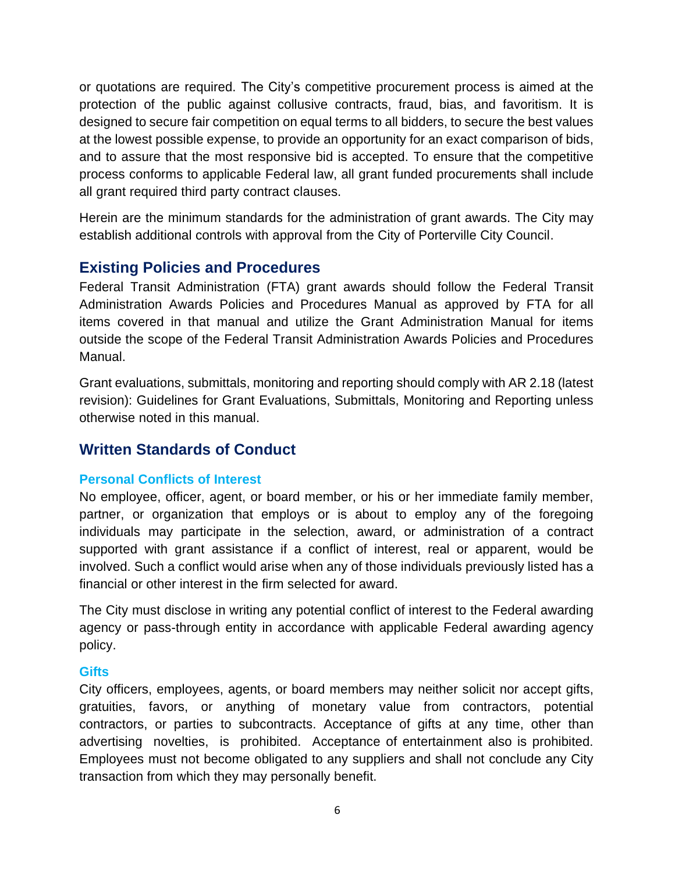or quotations are required. The City's competitive procurement process is aimed at the protection of the public against collusive contracts, fraud, bias, and favoritism. It is designed to secure fair competition on equal terms to all bidders, to secure the best values at the lowest possible expense, to provide an opportunity for an exact comparison of bids, and to assure that the most responsive bid is accepted. To ensure that the competitive process conforms to applicable Federal law, all grant funded procurements shall include all grant required third party contract clauses.

Herein are the minimum standards for the administration of grant awards. The City may establish additional controls with approval from the City of Porterville City Council.

## <span id="page-5-0"></span>**Existing Policies and Procedures**

Federal Transit Administration (FTA) grant awards should follow the Federal Transit Administration Awards Policies and Procedures Manual as approved by FTA for all items covered in that manual and utilize the Grant Administration Manual for items outside the scope of the Federal Transit Administration Awards Policies and Procedures Manual.

Grant evaluations, submittals, monitoring and reporting should comply with AR 2.18 (latest revision): Guidelines for Grant Evaluations, Submittals, Monitoring and Reporting unless otherwise noted in this manual.

## <span id="page-5-1"></span>**Written Standards of Conduct**

#### <span id="page-5-2"></span>**Personal Conflicts of Interest**

No employee, officer, agent, or board member, or his or her immediate family member, partner, or organization that employs or is about to employ any of the foregoing individuals may participate in the selection, award, or administration of a contract supported with grant assistance if a conflict of interest, real or apparent, would be involved. Such a conflict would arise when any of those individuals previously listed has a financial or other interest in the firm selected for award.

The City must disclose in writing any potential conflict of interest to the Federal awarding agency or pass-through entity in accordance with applicable Federal awarding agency policy.

#### <span id="page-5-3"></span>**Gifts**

City officers, employees, agents, or board members may neither solicit nor accept gifts, gratuities, favors, or anything of monetary value from contractors, potential contractors, or parties to subcontracts. Acceptance of gifts at any time, other than advertising novelties, is prohibited. Acceptance of entertainment also is prohibited. Employees must not become obligated to any suppliers and shall not conclude any City transaction from which they may personally benefit.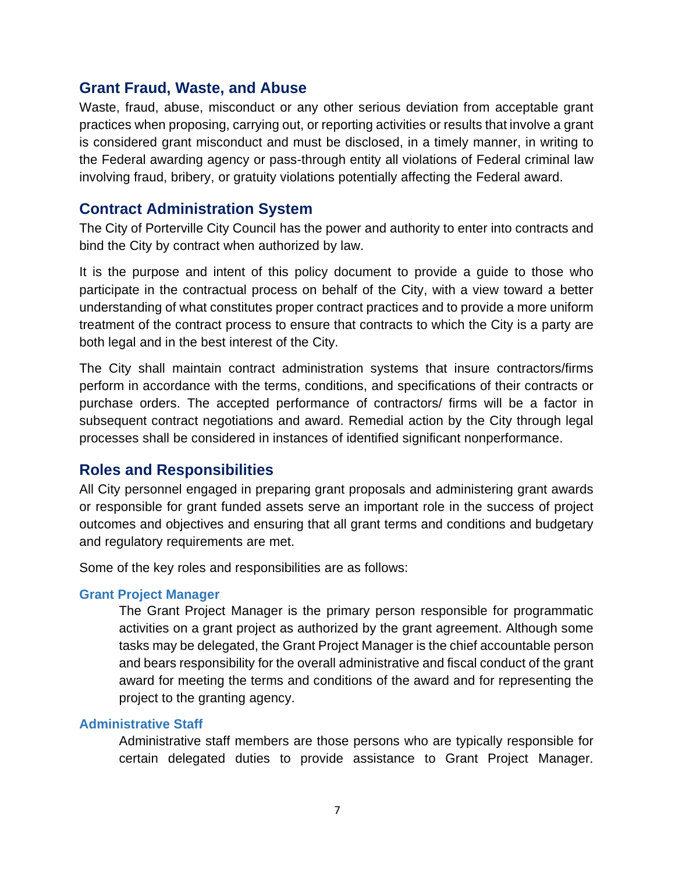#### <span id="page-6-0"></span>**Grant Fraud, Waste, and Abuse**

Waste, fraud, abuse, misconduct or any other serious deviation from acceptable grant practices when proposing, carrying out, or reporting activities or results that involve a grant is considered grant misconduct and must be disclosed, in a timely manner, in writing to the Federal awarding agency or pass-through entity all violations of Federal criminal law involving fraud, bribery, or gratuity violations potentially affecting the Federal award.

## <span id="page-6-1"></span>**Contract Administration System**

The City of Porterville City Council has the power and authority to enter into contracts and bind the City by contract when authorized by law.

It is the purpose and intent of this policy document to provide a guide to those who participate in the contractual process on behalf of the City, with a view toward a better understanding of what constitutes proper contract practices and to provide a more uniform treatment of the contract process to ensure that contracts to which the City is a party are both legal and in the best interest of the City.

The City shall maintain contract administration systems that insure contractors/firms perform in accordance with the terms, conditions, and specifications of their contracts or purchase orders. The accepted performance of contractors/ firms will be a factor in subsequent contract negotiations and award. Remedial action by the City through legal processes shall be considered in instances of identified significant nonperformance.

#### <span id="page-6-2"></span>**Roles and Responsibilities**

All City personnel engaged in preparing grant proposals and administering grant awards or responsible for grant funded assets serve an important role in the success of project outcomes and objectives and ensuring that all grant terms and conditions and budgetary and regulatory requirements are met.

Some of the key roles and responsibilities are as follows:

#### <span id="page-6-3"></span>**Grant Project Manager**

The Grant Project Manager is the primary person responsible for programmatic activities on a grant project as authorized by the grant agreement. Although some tasks may be delegated, the Grant Project Manager is the chief accountable person and bears responsibility for the overall administrative and fiscal conduct of the grant award for meeting the terms and conditions of the award and for representing the project to the granting agency.

#### <span id="page-6-4"></span>**Administrative Staff**

Administrative staff members are those persons who are typically responsible for certain delegated duties to provide assistance to Grant Project Manager.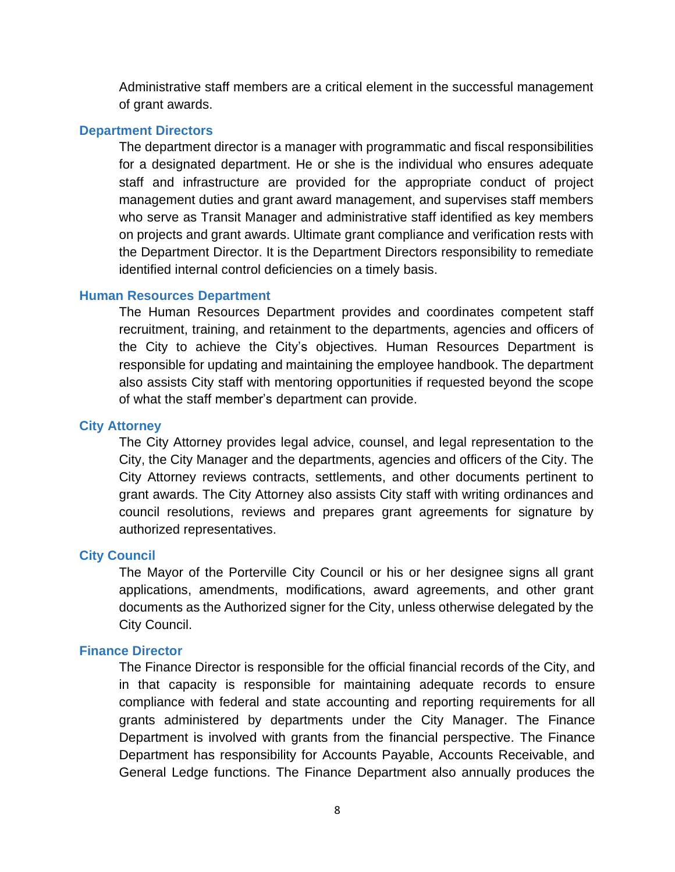Administrative staff members are a critical element in the successful management of grant awards.

#### <span id="page-7-0"></span>**Department Directors**

The department director is a manager with programmatic and fiscal responsibilities for a designated department. He or she is the individual who ensures adequate staff and infrastructure are provided for the appropriate conduct of project management duties and grant award management, and supervises staff members who serve as Transit Manager and administrative staff identified as key members on projects and grant awards. Ultimate grant compliance and verification rests with the Department Director. It is the Department Directors responsibility to remediate identified internal control deficiencies on a timely basis.

#### <span id="page-7-1"></span>**Human Resources Department**

The Human Resources Department provides and coordinates competent staff recruitment, training, and retainment to the departments, agencies and officers of the City to achieve the City's objectives. Human Resources Department is responsible for updating and maintaining the employee handbook. The department also assists City staff with mentoring opportunities if requested beyond the scope of what the staff member's department can provide.

#### <span id="page-7-2"></span>**City Attorney**

The City Attorney provides legal advice, counsel, and legal representation to the City, the City Manager and the departments, agencies and officers of the City. The City Attorney reviews contracts, settlements, and other documents pertinent to grant awards. The City Attorney also assists City staff with writing ordinances and council resolutions, reviews and prepares grant agreements for signature by authorized representatives.

#### <span id="page-7-3"></span>**City Council**

The Mayor of the Porterville City Council or his or her designee signs all grant applications, amendments, modifications, award agreements, and other grant documents as the Authorized signer for the City, unless otherwise delegated by the City Council.

#### <span id="page-7-4"></span>**Finance Director**

The Finance Director is responsible for the official financial records of the City, and in that capacity is responsible for maintaining adequate records to ensure compliance with federal and state accounting and reporting requirements for all grants administered by departments under the City Manager. The Finance Department is involved with grants from the financial perspective. The Finance Department has responsibility for Accounts Payable, Accounts Receivable, and General Ledge functions. The Finance Department also annually produces the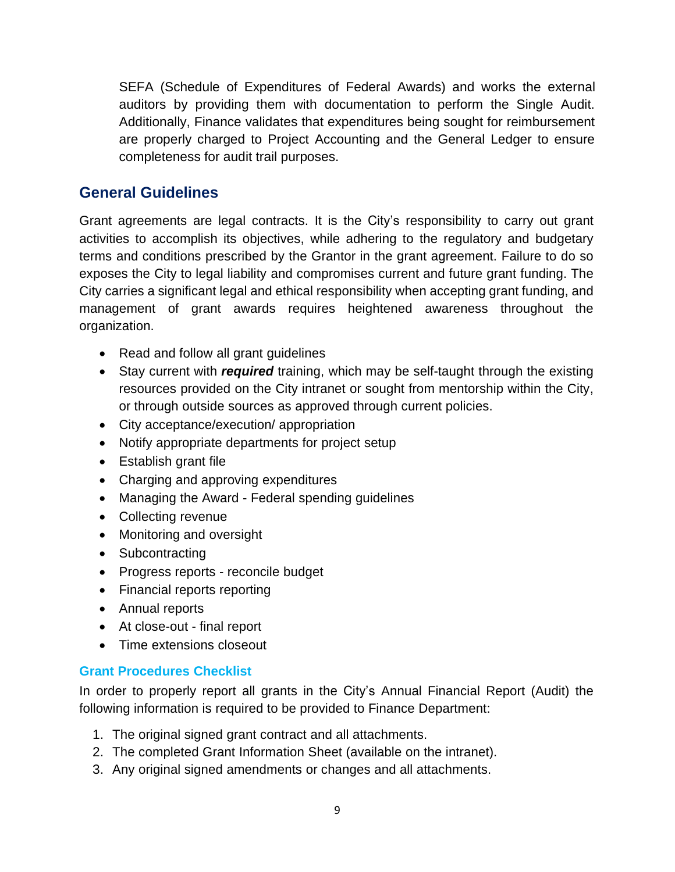SEFA (Schedule of Expenditures of Federal Awards) and works the external auditors by providing them with documentation to perform the Single Audit. Additionally, Finance validates that expenditures being sought for reimbursement are properly charged to Project Accounting and the General Ledger to ensure completeness for audit trail purposes.

## **General Guidelines**

Grant agreements are legal contracts. It is the City's responsibility to carry out grant activities to accomplish its objectives, while adhering to the regulatory and budgetary terms and conditions prescribed by the Grantor in the grant agreement. Failure to do so exposes the City to legal liability and compromises current and future grant funding. The City carries a significant legal and ethical responsibility when accepting grant funding, and management of grant awards requires heightened awareness throughout the organization.

- Read and follow all grant guidelines
- Stay current with *required* training, which may be self-taught through the existing resources provided on the City intranet or sought from mentorship within the City, or through outside sources as approved through current policies.
- City acceptance/execution/ appropriation
- Notify appropriate departments for project setup
- Establish grant file
- Charging and approving expenditures
- Managing the Award Federal spending guidelines
- Collecting revenue
- Monitoring and oversight
- Subcontracting
- Progress reports reconcile budget
- Financial reports reporting
- Annual reports
- At close-out final report
- Time extensions closeout

#### <span id="page-8-0"></span>**Grant Procedures Checklist**

In order to properly report all grants in the City's Annual Financial Report (Audit) the following information is required to be provided to Finance Department:

- 1. The original signed grant contract and all attachments.
- 2. The completed Grant Information Sheet (available on the intranet).
- 3. Any original signed amendments or changes and all attachments.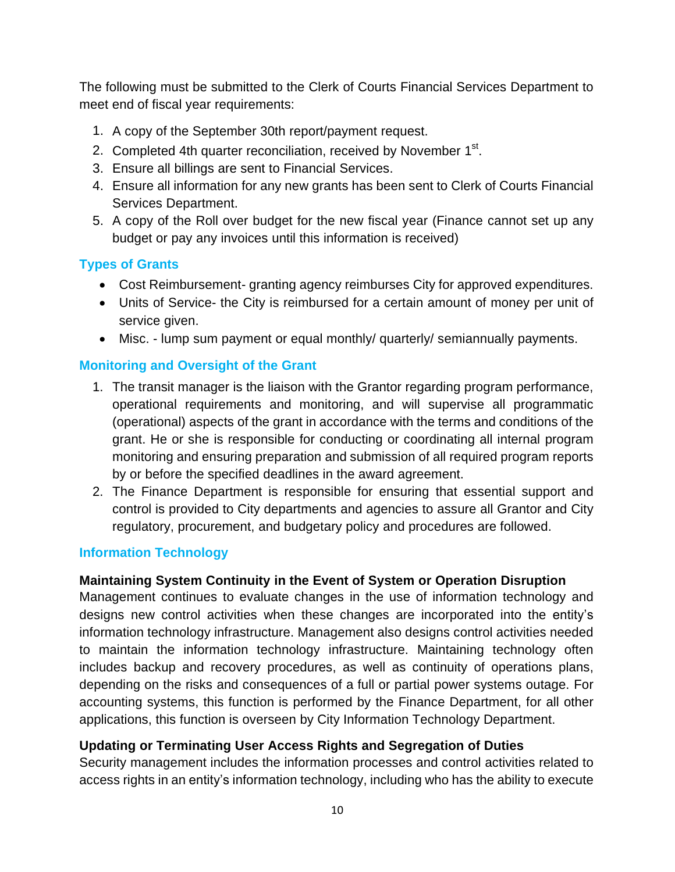The following must be submitted to the Clerk of Courts Financial Services Department to meet end of fiscal year requirements:

- 1. A copy of the September 30th report/payment request.
- 2. Completed 4th quarter reconciliation, received by November 1<sup>st</sup>.
- 3. Ensure all billings are sent to Financial Services.
- 4. Ensure all information for any new grants has been sent to Clerk of Courts Financial Services Department.
- 5. A copy of the Roll over budget for the new fiscal year (Finance cannot set up any budget or pay any invoices until this information is received)

## <span id="page-9-0"></span>**Types of Grants**

- Cost Reimbursement- granting agency reimburses City for approved expenditures.
- Units of Service- the City is reimbursed for a certain amount of money per unit of service given.
- Misc. lump sum payment or equal monthly/ quarterly/ semiannually payments.

#### <span id="page-9-1"></span>**Monitoring and Oversight of the Grant**

- 1. The transit manager is the liaison with the Grantor regarding program performance, operational requirements and monitoring, and will supervise all programmatic (operational) aspects of the grant in accordance with the terms and conditions of the grant. He or she is responsible for conducting or coordinating all internal program monitoring and ensuring preparation and submission of all required program reports by or before the specified deadlines in the award agreement.
- 2. The Finance Department is responsible for ensuring that essential support and control is provided to City departments and agencies to assure all Grantor and City regulatory, procurement, and budgetary policy and procedures are followed.

## <span id="page-9-2"></span>**Information Technology**

#### <span id="page-9-3"></span>**Maintaining System Continuity in the Event of System or Operation Disruption**

Management continues to evaluate changes in the use of information technology and designs new control activities when these changes are incorporated into the entity's information technology infrastructure. Management also designs control activities needed to maintain the information technology infrastructure. Maintaining technology often includes backup and recovery procedures, as well as continuity of operations plans, depending on the risks and consequences of a full or partial power systems outage. For accounting systems, this function is performed by the Finance Department, for all other applications, this function is overseen by City Information Technology Department.

#### <span id="page-9-4"></span>**Updating or Terminating User Access Rights and Segregation of Duties**

Security management includes the information processes and control activities related to access rights in an entity's information technology, including who has the ability to execute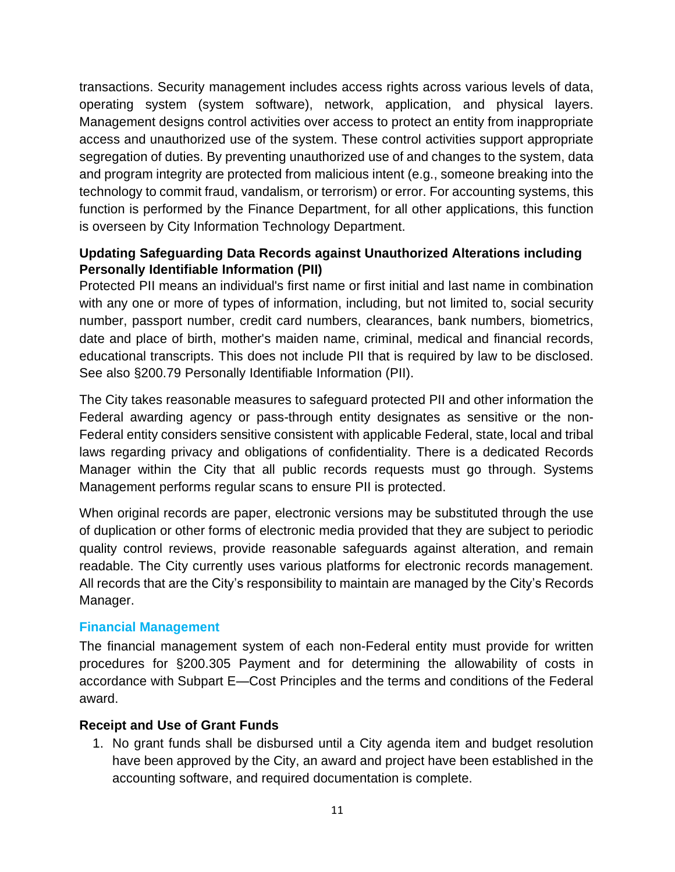transactions. Security management includes access rights across various levels of data, operating system (system software), network, application, and physical layers. Management designs control activities over access to protect an entity from inappropriate access and unauthorized use of the system. These control activities support appropriate segregation of duties. By preventing unauthorized use of and changes to the system, data and program integrity are protected from malicious intent (e.g., someone breaking into the technology to commit fraud, vandalism, or terrorism) or error. For accounting systems, this function is performed by the Finance Department, for all other applications, this function is overseen by City Information Technology Department.

#### <span id="page-10-0"></span>**Updating Safeguarding Data Records against Unauthorized Alterations including Personally Identifiable Information (PII)**

Protected PII means an individual's first name or first initial and last name in combination with any one or more of types of information, including, but not limited to, social security number, passport number, credit card numbers, clearances, bank numbers, biometrics, date and place of birth, mother's maiden name, criminal, medical and financial records, educational transcripts. This does not include PII that is required by law to be disclosed. See also §200.79 Personally Identifiable Information (PII).

The City takes reasonable measures to safeguard protected PII and other information the Federal awarding agency or pass-through entity designates as sensitive or the non-Federal entity considers sensitive consistent with applicable Federal, state, local and tribal laws regarding privacy and obligations of confidentiality. There is a dedicated Records Manager within the City that all public records requests must go through. Systems Management performs regular scans to ensure PII is protected.

When original records are paper, electronic versions may be substituted through the use of duplication or other forms of electronic media provided that they are subject to periodic quality control reviews, provide reasonable safeguards against alteration, and remain readable. The City currently uses various platforms for electronic records management. All records that are the City's responsibility to maintain are managed by the City's Records Manager.

#### <span id="page-10-1"></span>**Financial Management**

The financial management system of each non-Federal entity must provide for written procedures for §200.305 Payment and for determining the allowability of costs in accordance with Subpart E—Cost Principles and the terms and conditions of the Federal award.

#### <span id="page-10-2"></span>**Receipt and Use of Grant Funds**

1. No grant funds shall be disbursed until a City agenda item and budget resolution have been approved by the City, an award and project have been established in the accounting software, and required documentation is complete.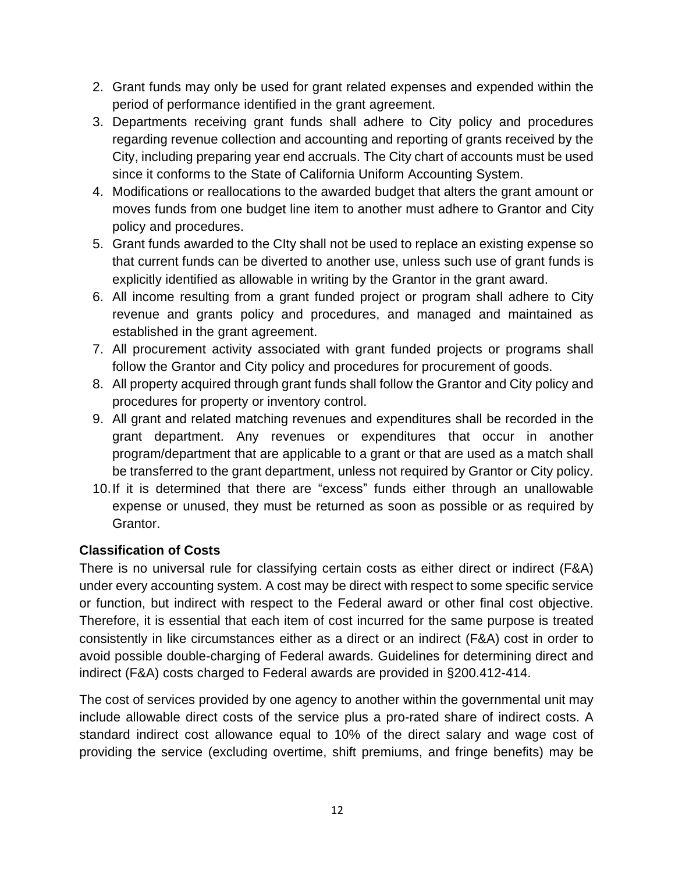- 2. Grant funds may only be used for grant related expenses and expended within the period of performance identified in the grant agreement.
- 3. Departments receiving grant funds shall adhere to City policy and procedures regarding revenue collection and accounting and reporting of grants received by the City, including preparing year end accruals. The City chart of accounts must be used since it conforms to the State of California Uniform Accounting System.
- 4. Modifications or reallocations to the awarded budget that alters the grant amount or moves funds from one budget line item to another must adhere to Grantor and City policy and procedures.
- 5. Grant funds awarded to the CIty shall not be used to replace an existing expense so that current funds can be diverted to another use, unless such use of grant funds is explicitly identified as allowable in writing by the Grantor in the grant award.
- 6. All income resulting from a grant funded project or program shall adhere to City revenue and grants policy and procedures, and managed and maintained as established in the grant agreement.
- 7. All procurement activity associated with grant funded projects or programs shall follow the Grantor and City policy and procedures for procurement of goods.
- 8. All property acquired through grant funds shall follow the Grantor and City policy and procedures for property or inventory control.
- 9. All grant and related matching revenues and expenditures shall be recorded in the grant department. Any revenues or expenditures that occur in another program/department that are applicable to a grant or that are used as a match shall be transferred to the grant department, unless not required by Grantor or City policy.
- 10.If it is determined that there are "excess" funds either through an unallowable expense or unused, they must be returned as soon as possible or as required by Grantor.

## <span id="page-11-0"></span>**Classification of Costs**

There is no universal rule for classifying certain costs as either direct or indirect (F&A) under every accounting system. A cost may be direct with respect to some specific service or function, but indirect with respect to the Federal award or other final cost objective. Therefore, it is essential that each item of cost incurred for the same purpose is treated consistently in like circumstances either as a direct or an indirect (F&A) cost in order to avoid possible double-charging of Federal awards. Guidelines for determining direct and indirect (F&A) costs charged to Federal awards are provided in §200.412-414.

The cost of services provided by one agency to another within the governmental unit may include allowable direct costs of the service plus a pro-rated share of indirect costs. A standard indirect cost allowance equal to 10% of the direct salary and wage cost of providing the service (excluding overtime, shift premiums, and fringe benefits) may be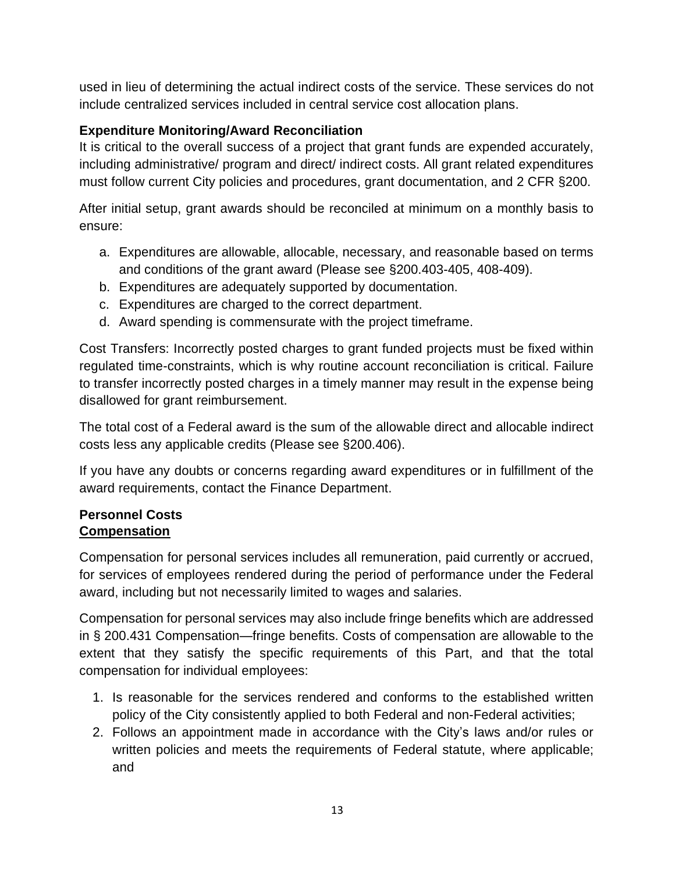used in lieu of determining the actual indirect costs of the service. These services do not include centralized services included in central service cost allocation plans.

## <span id="page-12-0"></span>**Expenditure Monitoring/Award Reconciliation**

It is critical to the overall success of a project that grant funds are expended accurately, including administrative/ program and direct/ indirect costs. All grant related expenditures must follow current City policies and procedures, grant documentation, and 2 CFR §200.

After initial setup, grant awards should be reconciled at minimum on a monthly basis to ensure:

- a. Expenditures are allowable, allocable, necessary, and reasonable based on terms and conditions of the grant award (Please see §200.403-405, 408-409).
- b. Expenditures are adequately supported by documentation.
- c. Expenditures are charged to the correct department.
- d. Award spending is commensurate with the project timeframe.

Cost Transfers: Incorrectly posted charges to grant funded projects must be fixed within regulated time-constraints, which is why routine account reconciliation is critical. Failure to transfer incorrectly posted charges in a timely manner may result in the expense being disallowed for grant reimbursement.

The total cost of a Federal award is the sum of the allowable direct and allocable indirect costs less any applicable credits (Please see §200.406).

If you have any doubts or concerns regarding award expenditures or in fulfillment of the award requirements, contact the Finance Department.

#### <span id="page-12-1"></span>**Personnel Costs Compensation**

Compensation for personal services includes all remuneration, paid currently or accrued, for services of employees rendered during the period of performance under the Federal award, including but not necessarily limited to wages and salaries.

Compensation for personal services may also include fringe benefits which are addressed in § 200.431 Compensation—fringe benefits. Costs of compensation are allowable to the extent that they satisfy the specific requirements of this Part, and that the total compensation for individual employees:

- 1. Is reasonable for the services rendered and conforms to the established written policy of the City consistently applied to both Federal and non-Federal activities;
- 2. Follows an appointment made in accordance with the City's laws and/or rules or written policies and meets the requirements of Federal statute, where applicable; and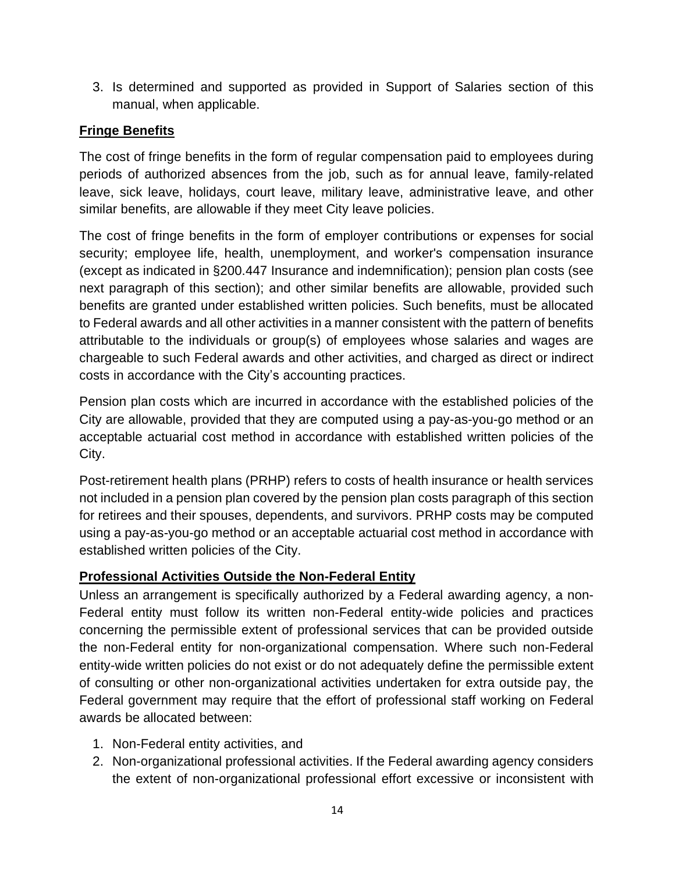3. Is determined and supported as provided in Support of Salaries section of this manual, when applicable.

#### **Fringe Benefits**

The cost of fringe benefits in the form of regular compensation paid to employees during periods of authorized absences from the job, such as for annual leave, family-related leave, sick leave, holidays, court leave, military leave, administrative leave, and other similar benefits, are allowable if they meet City leave policies.

The cost of fringe benefits in the form of employer contributions or expenses for social security; employee life, health, unemployment, and worker's compensation insurance (except as indicated in §200.447 Insurance and indemnification); pension plan costs (see next paragraph of this section); and other similar benefits are allowable, provided such benefits are granted under established written policies. Such benefits, must be allocated to Federal awards and all other activities in a manner consistent with the pattern of benefits attributable to the individuals or group(s) of employees whose salaries and wages are chargeable to such Federal awards and other activities, and charged as direct or indirect costs in accordance with the City's accounting practices.

Pension plan costs which are incurred in accordance with the established policies of the City are allowable, provided that they are computed using a pay-as-you-go method or an acceptable actuarial cost method in accordance with established written policies of the City.

Post-retirement health plans (PRHP) refers to costs of health insurance or health services not included in a pension plan covered by the pension plan costs paragraph of this section for retirees and their spouses, dependents, and survivors. PRHP costs may be computed using a pay-as-you-go method or an acceptable actuarial cost method in accordance with established written policies of the City.

## <span id="page-13-0"></span>**Professional Activities Outside the Non-Federal Entity**

Unless an arrangement is specifically authorized by a Federal awarding agency, a non-Federal entity must follow its written non-Federal entity-wide policies and practices concerning the permissible extent of professional services that can be provided outside the non-Federal entity for non-organizational compensation. Where such non-Federal entity-wide written policies do not exist or do not adequately define the permissible extent of consulting or other non-organizational activities undertaken for extra outside pay, the Federal government may require that the effort of professional staff working on Federal awards be allocated between:

- 1. Non-Federal entity activities, and
- 2. Non-organizational professional activities. If the Federal awarding agency considers the extent of non-organizational professional effort excessive or inconsistent with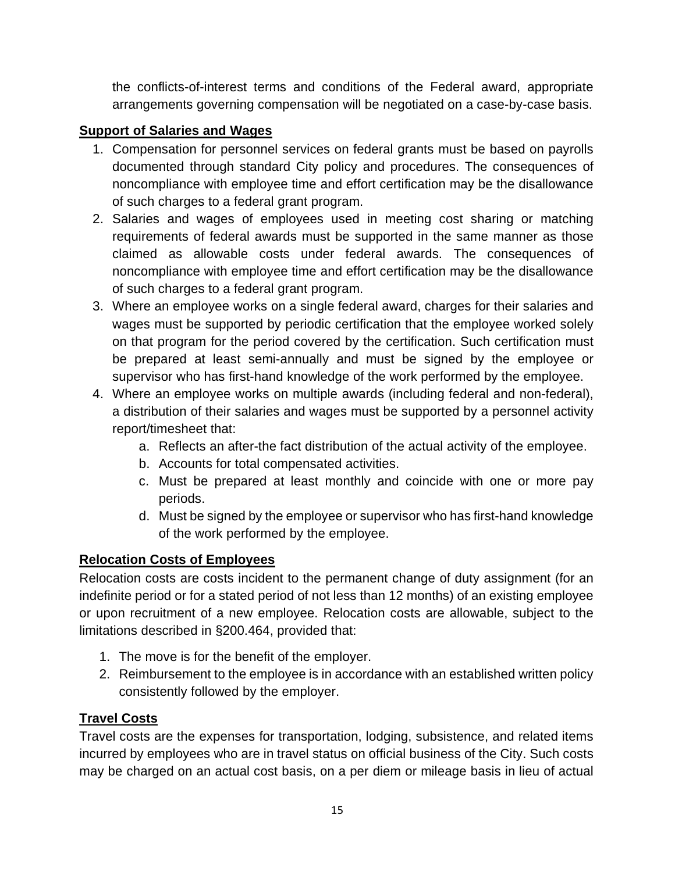the conflicts-of-interest terms and conditions of the Federal award, appropriate arrangements governing compensation will be negotiated on a case-by-case basis.

## <span id="page-14-0"></span>**Support of Salaries and Wages**

- 1. Compensation for personnel services on federal grants must be based on payrolls documented through standard City policy and procedures. The consequences of noncompliance with employee time and effort certification may be the disallowance of such charges to a federal grant program.
- 2. Salaries and wages of employees used in meeting cost sharing or matching requirements of federal awards must be supported in the same manner as those claimed as allowable costs under federal awards. The consequences of noncompliance with employee time and effort certification may be the disallowance of such charges to a federal grant program.
- 3. Where an employee works on a single federal award, charges for their salaries and wages must be supported by periodic certification that the employee worked solely on that program for the period covered by the certification. Such certification must be prepared at least semi-annually and must be signed by the employee or supervisor who has first-hand knowledge of the work performed by the employee.
- 4. Where an employee works on multiple awards (including federal and non-federal), a distribution of their salaries and wages must be supported by a personnel activity report/timesheet that:
	- a. Reflects an after-the fact distribution of the actual activity of the employee.
	- b. Accounts for total compensated activities.
	- c. Must be prepared at least monthly and coincide with one or more pay periods.
	- d. Must be signed by the employee or supervisor who has first-hand knowledge of the work performed by the employee.

## <span id="page-14-1"></span>**Relocation Costs of Employees**

Relocation costs are costs incident to the permanent change of duty assignment (for an indefinite period or for a stated period of not less than 12 months) of an existing employee or upon recruitment of a new employee. Relocation costs are allowable, subject to the limitations described in §200.464, provided that:

- 1. The move is for the benefit of the employer.
- 2. Reimbursement to the employee is in accordance with an established written policy consistently followed by the employer.

## <span id="page-14-2"></span>**Travel Costs**

Travel costs are the expenses for transportation, lodging, subsistence, and related items incurred by employees who are in travel status on official business of the City. Such costs may be charged on an actual cost basis, on a per diem or mileage basis in lieu of actual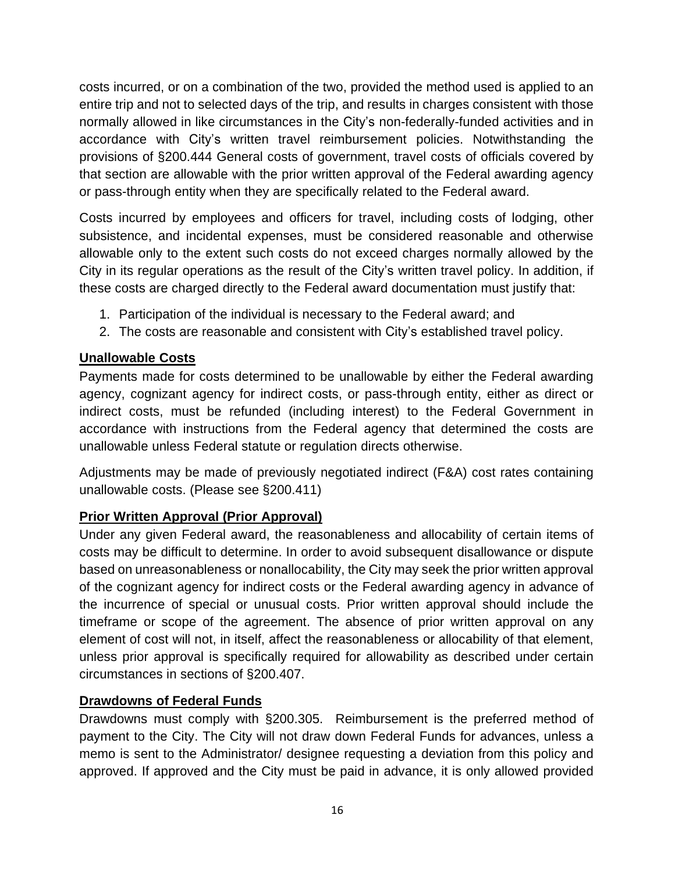costs incurred, or on a combination of the two, provided the method used is applied to an entire trip and not to selected days of the trip, and results in charges consistent with those normally allowed in like circumstances in the City's non-federally-funded activities and in accordance with City's written travel reimbursement policies. Notwithstanding the provisions of §200.444 General costs of government, travel costs of officials covered by that section are allowable with the prior written approval of the Federal awarding agency or pass-through entity when they are specifically related to the Federal award.

Costs incurred by employees and officers for travel, including costs of lodging, other subsistence, and incidental expenses, must be considered reasonable and otherwise allowable only to the extent such costs do not exceed charges normally allowed by the City in its regular operations as the result of the City's written travel policy. In addition, if these costs are charged directly to the Federal award documentation must justify that:

- 1. Participation of the individual is necessary to the Federal award; and
- 2. The costs are reasonable and consistent with City's established travel policy.

#### <span id="page-15-0"></span>**Unallowable Costs**

Payments made for costs determined to be unallowable by either the Federal awarding agency, cognizant agency for indirect costs, or pass-through entity, either as direct or indirect costs, must be refunded (including interest) to the Federal Government in accordance with instructions from the Federal agency that determined the costs are unallowable unless Federal statute or regulation directs otherwise.

Adjustments may be made of previously negotiated indirect (F&A) cost rates containing unallowable costs. (Please see §200.411)

## <span id="page-15-1"></span>**Prior Written Approval (Prior Approval)**

Under any given Federal award, the reasonableness and allocability of certain items of costs may be difficult to determine. In order to avoid subsequent disallowance or dispute based on unreasonableness or nonallocability, the City may seek the prior written approval of the cognizant agency for indirect costs or the Federal awarding agency in advance of the incurrence of special or unusual costs. Prior written approval should include the timeframe or scope of the agreement. The absence of prior written approval on any element of cost will not, in itself, affect the reasonableness or allocability of that element, unless prior approval is specifically required for allowability as described under certain circumstances in sections of §200.407.

#### <span id="page-15-2"></span>**Drawdowns of Federal Funds**

Drawdowns must comply with §200.305. Reimbursement is the preferred method of payment to the City. The City will not draw down Federal Funds for advances, unless a memo is sent to the Administrator/ designee requesting a deviation from this policy and approved. If approved and the City must be paid in advance, it is only allowed provided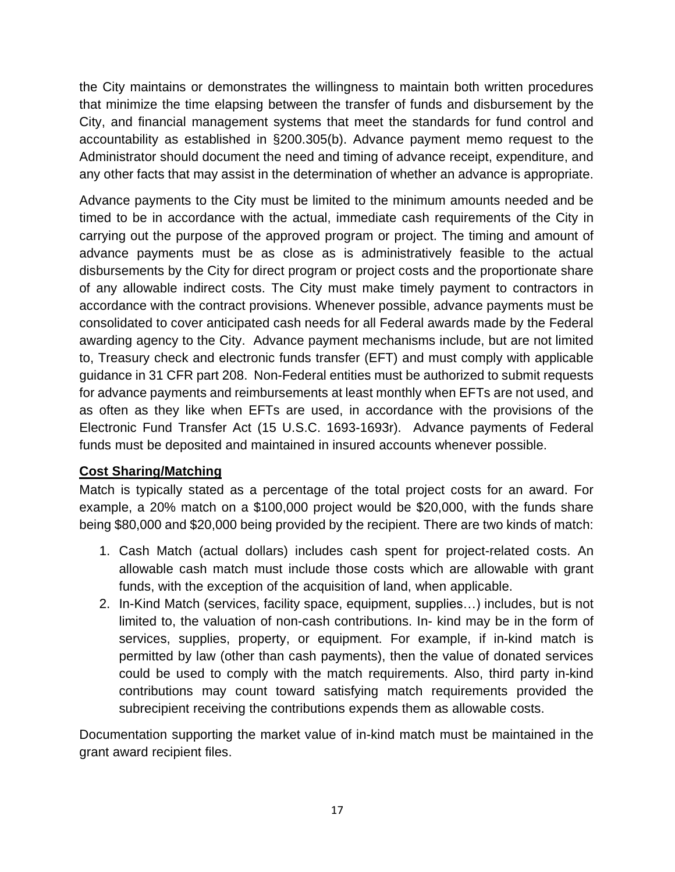the City maintains or demonstrates the willingness to maintain both written procedures that minimize the time elapsing between the transfer of funds and disbursement by the City, and financial management systems that meet the standards for fund control and accountability as established in §200.305(b). Advance payment memo request to the Administrator should document the need and timing of advance receipt, expenditure, and any other facts that may assist in the determination of whether an advance is appropriate.

Advance payments to the City must be limited to the minimum amounts needed and be timed to be in accordance with the actual, immediate cash requirements of the City in carrying out the purpose of the approved program or project. The timing and amount of advance payments must be as close as is administratively feasible to the actual disbursements by the City for direct program or project costs and the proportionate share of any allowable indirect costs. The City must make timely payment to contractors in accordance with the contract provisions. Whenever possible, advance payments must be consolidated to cover anticipated cash needs for all Federal awards made by the Federal awarding agency to the City. Advance payment mechanisms include, but are not limited to, Treasury check and electronic funds transfer (EFT) and must comply with applicable guidance in 31 CFR part 208. Non-Federal entities must be authorized to submit requests for advance payments and reimbursements at least monthly when EFTs are not used, and as often as they like when EFTs are used, in accordance with the provisions of the Electronic Fund Transfer Act (15 U.S.C. 1693-1693r). Advance payments of Federal funds must be deposited and maintained in insured accounts whenever possible.

#### <span id="page-16-0"></span>**Cost Sharing/Matching**

Match is typically stated as a percentage of the total project costs for an award. For example, a 20% match on a \$100,000 project would be \$20,000, with the funds share being \$80,000 and \$20,000 being provided by the recipient. There are two kinds of match:

- 1. Cash Match (actual dollars) includes cash spent for project-related costs. An allowable cash match must include those costs which are allowable with grant funds, with the exception of the acquisition of land, when applicable.
- 2. In-Kind Match (services, facility space, equipment, supplies…) includes, but is not limited to, the valuation of non-cash contributions. In- kind may be in the form of services, supplies, property, or equipment. For example, if in-kind match is permitted by law (other than cash payments), then the value of donated services could be used to comply with the match requirements. Also, third party in-kind contributions may count toward satisfying match requirements provided the subrecipient receiving the contributions expends them as allowable costs.

Documentation supporting the market value of in-kind match must be maintained in the grant award recipient files.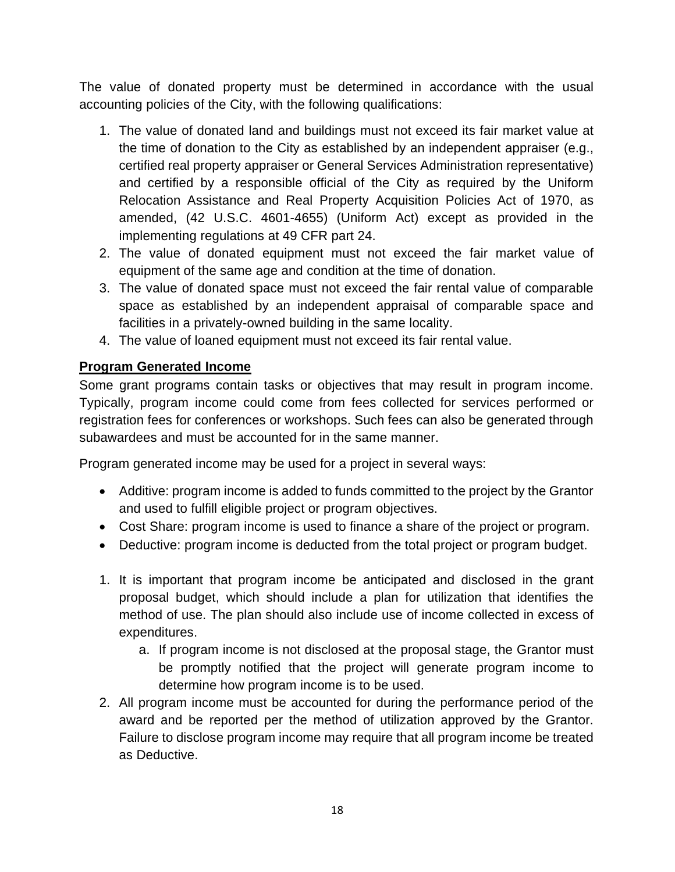The value of donated property must be determined in accordance with the usual accounting policies of the City, with the following qualifications:

- 1. The value of donated land and buildings must not exceed its fair market value at the time of donation to the City as established by an independent appraiser (e.g., certified real property appraiser or General Services Administration representative) and certified by a responsible official of the City as required by the Uniform Relocation Assistance and Real Property Acquisition Policies Act of 1970, as amended, (42 U.S.C. 4601-4655) (Uniform Act) except as provided in the implementing regulations at 49 CFR part 24.
- 2. The value of donated equipment must not exceed the fair market value of equipment of the same age and condition at the time of donation.
- 3. The value of donated space must not exceed the fair rental value of comparable space as established by an independent appraisal of comparable space and facilities in a privately-owned building in the same locality.
- 4. The value of loaned equipment must not exceed its fair rental value.

## <span id="page-17-0"></span>**Program Generated Income**

Some grant programs contain tasks or objectives that may result in program income. Typically, program income could come from fees collected for services performed or registration fees for conferences or workshops. Such fees can also be generated through subawardees and must be accounted for in the same manner.

Program generated income may be used for a project in several ways:

- Additive: program income is added to funds committed to the project by the Grantor and used to fulfill eligible project or program objectives.
- Cost Share: program income is used to finance a share of the project or program.
- Deductive: program income is deducted from the total project or program budget.
- 1. It is important that program income be anticipated and disclosed in the grant proposal budget, which should include a plan for utilization that identifies the method of use. The plan should also include use of income collected in excess of expenditures.
	- a. If program income is not disclosed at the proposal stage, the Grantor must be promptly notified that the project will generate program income to determine how program income is to be used.
- 2. All program income must be accounted for during the performance period of the award and be reported per the method of utilization approved by the Grantor. Failure to disclose program income may require that all program income be treated as Deductive.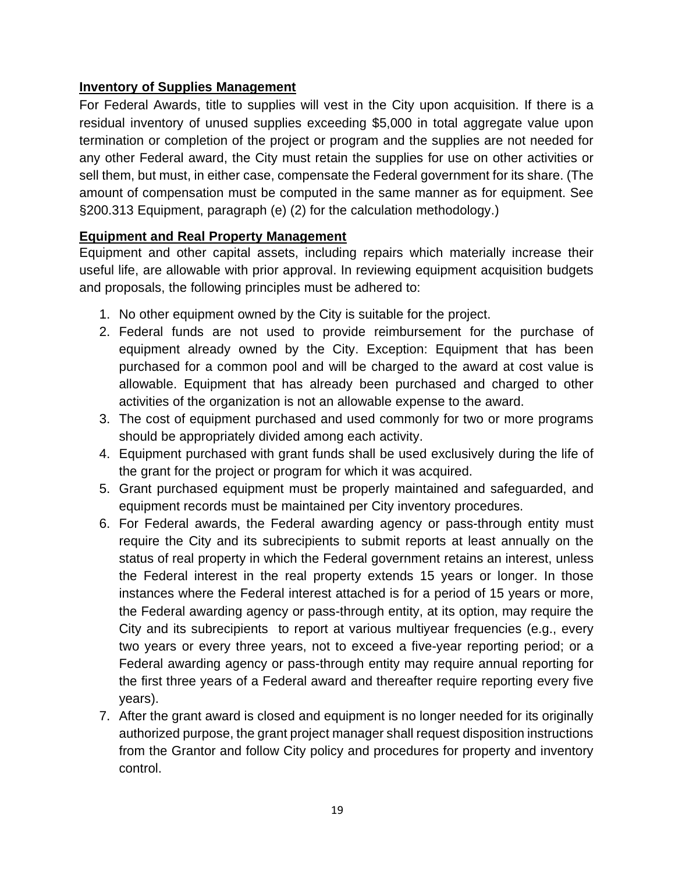#### <span id="page-18-0"></span>**Inventory of Supplies Management**

For Federal Awards, title to supplies will vest in the City upon acquisition. If there is a residual inventory of unused supplies exceeding \$5,000 in total aggregate value upon termination or completion of the project or program and the supplies are not needed for any other Federal award, the City must retain the supplies for use on other activities or sell them, but must, in either case, compensate the Federal government for its share. (The amount of compensation must be computed in the same manner as for equipment. See §200.313 Equipment, paragraph (e) (2) for the calculation methodology.)

#### <span id="page-18-1"></span>**Equipment and Real Property Management**

Equipment and other capital assets, including repairs which materially increase their useful life, are allowable with prior approval. In reviewing equipment acquisition budgets and proposals, the following principles must be adhered to:

- 1. No other equipment owned by the City is suitable for the project.
- 2. Federal funds are not used to provide reimbursement for the purchase of equipment already owned by the City. Exception: Equipment that has been purchased for a common pool and will be charged to the award at cost value is allowable. Equipment that has already been purchased and charged to other activities of the organization is not an allowable expense to the award.
- 3. The cost of equipment purchased and used commonly for two or more programs should be appropriately divided among each activity.
- 4. Equipment purchased with grant funds shall be used exclusively during the life of the grant for the project or program for which it was acquired.
- 5. Grant purchased equipment must be properly maintained and safeguarded, and equipment records must be maintained per City inventory procedures.
- 6. For Federal awards, the Federal awarding agency or pass-through entity must require the City and its subrecipients to submit reports at least annually on the status of real property in which the Federal government retains an interest, unless the Federal interest in the real property extends 15 years or longer. In those instances where the Federal interest attached is for a period of 15 years or more, the Federal awarding agency or pass-through entity, at its option, may require the City and its subrecipients to report at various multiyear frequencies (e.g., every two years or every three years, not to exceed a five-year reporting period; or a Federal awarding agency or pass-through entity may require annual reporting for the first three years of a Federal award and thereafter require reporting every five years).
- 7. After the grant award is closed and equipment is no longer needed for its originally authorized purpose, the grant project manager shall request disposition instructions from the Grantor and follow City policy and procedures for property and inventory control.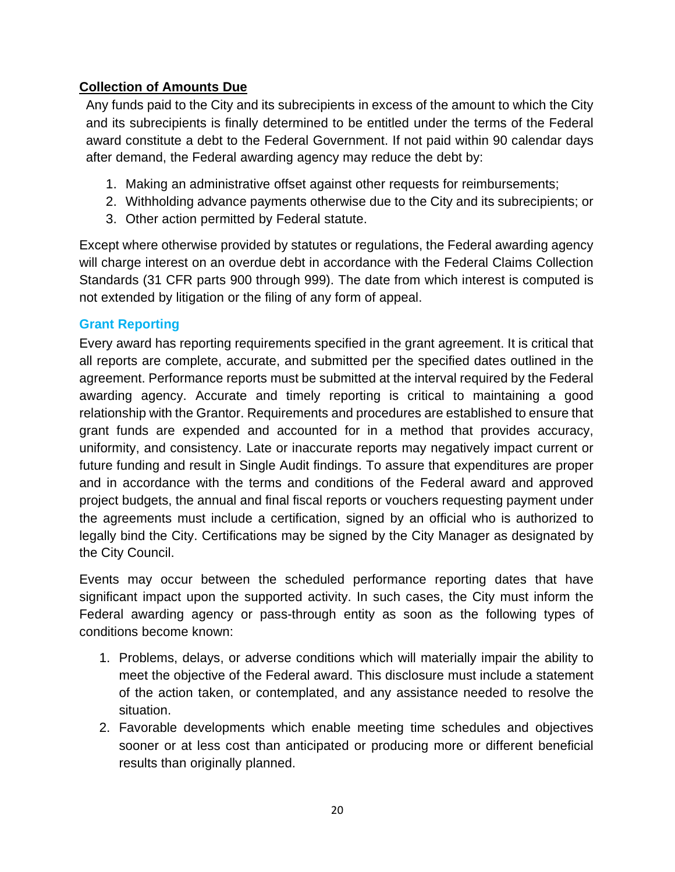#### <span id="page-19-0"></span>**Collection of Amounts Due**

Any funds paid to the City and its subrecipients in excess of the amount to which the City and its subrecipients is finally determined to be entitled under the terms of the Federal award constitute a debt to the Federal Government. If not paid within 90 calendar days after demand, the Federal awarding agency may reduce the debt by:

- 1. Making an administrative offset against other requests for reimbursements;
- 2. Withholding advance payments otherwise due to the City and its subrecipients; or
- 3. Other action permitted by Federal statute.

Except where otherwise provided by statutes or regulations, the Federal awarding agency will charge interest on an overdue debt in accordance with the Federal Claims Collection Standards (31 CFR parts 900 through 999). The date from which interest is computed is not extended by litigation or the filing of any form of appeal.

#### <span id="page-19-1"></span>**Grant Reporting**

Every award has reporting requirements specified in the grant agreement. It is critical that all reports are complete, accurate, and submitted per the specified dates outlined in the agreement. Performance reports must be submitted at the interval required by the Federal awarding agency. Accurate and timely reporting is critical to maintaining a good relationship with the Grantor. Requirements and procedures are established to ensure that grant funds are expended and accounted for in a method that provides accuracy, uniformity, and consistency. Late or inaccurate reports may negatively impact current or future funding and result in Single Audit findings. To assure that expenditures are proper and in accordance with the terms and conditions of the Federal award and approved project budgets, the annual and final fiscal reports or vouchers requesting payment under the agreements must include a certification, signed by an official who is authorized to legally bind the City. Certifications may be signed by the City Manager as designated by the City Council.

Events may occur between the scheduled performance reporting dates that have significant impact upon the supported activity. In such cases, the City must inform the Federal awarding agency or pass-through entity as soon as the following types of conditions become known:

- 1. Problems, delays, or adverse conditions which will materially impair the ability to meet the objective of the Federal award. This disclosure must include a statement of the action taken, or contemplated, and any assistance needed to resolve the situation.
- 2. Favorable developments which enable meeting time schedules and objectives sooner or at less cost than anticipated or producing more or different beneficial results than originally planned.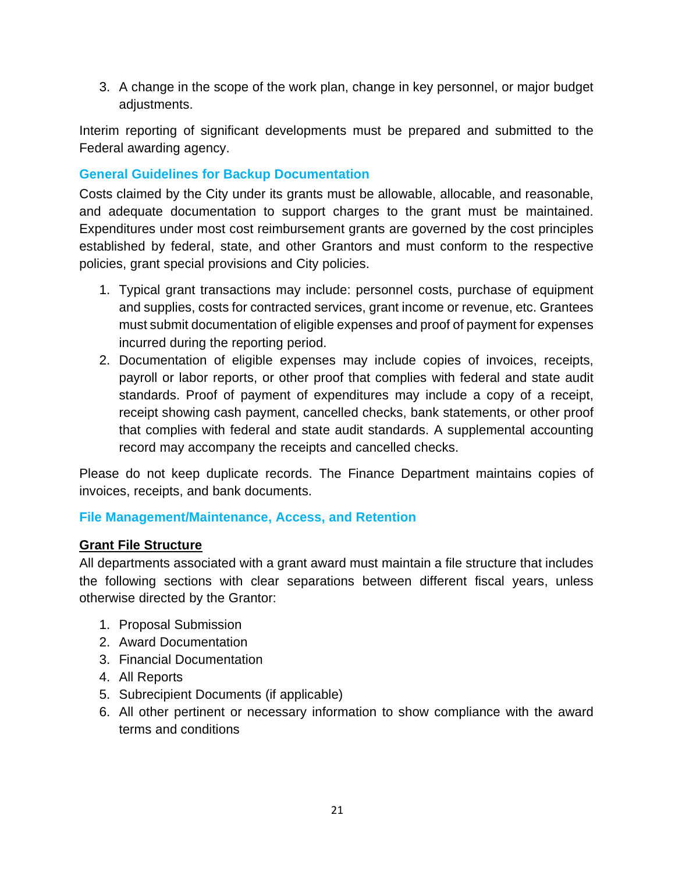3. A change in the scope of the work plan, change in key personnel, or major budget adiustments.

Interim reporting of significant developments must be prepared and submitted to the Federal awarding agency.

#### <span id="page-20-0"></span>**General Guidelines for Backup Documentation**

Costs claimed by the City under its grants must be allowable, allocable, and reasonable, and adequate documentation to support charges to the grant must be maintained. Expenditures under most cost reimbursement grants are governed by the cost principles established by federal, state, and other Grantors and must conform to the respective policies, grant special provisions and City policies.

- 1. Typical grant transactions may include: personnel costs, purchase of equipment and supplies, costs for contracted services, grant income or revenue, etc. Grantees must submit documentation of eligible expenses and proof of payment for expenses incurred during the reporting period.
- 2. Documentation of eligible expenses may include copies of invoices, receipts, payroll or labor reports, or other proof that complies with federal and state audit standards. Proof of payment of expenditures may include a copy of a receipt, receipt showing cash payment, cancelled checks, bank statements, or other proof that complies with federal and state audit standards. A supplemental accounting record may accompany the receipts and cancelled checks.

Please do not keep duplicate records. The Finance Department maintains copies of invoices, receipts, and bank documents.

#### <span id="page-20-1"></span>**File Management/Maintenance, Access, and Retention**

#### <span id="page-20-2"></span>**Grant File Structure**

All departments associated with a grant award must maintain a file structure that includes the following sections with clear separations between different fiscal years, unless otherwise directed by the Grantor:

- 1. Proposal Submission
- 2. Award Documentation
- 3. Financial Documentation
- 4. All Reports
- 5. Subrecipient Documents (if applicable)
- 6. All other pertinent or necessary information to show compliance with the award terms and conditions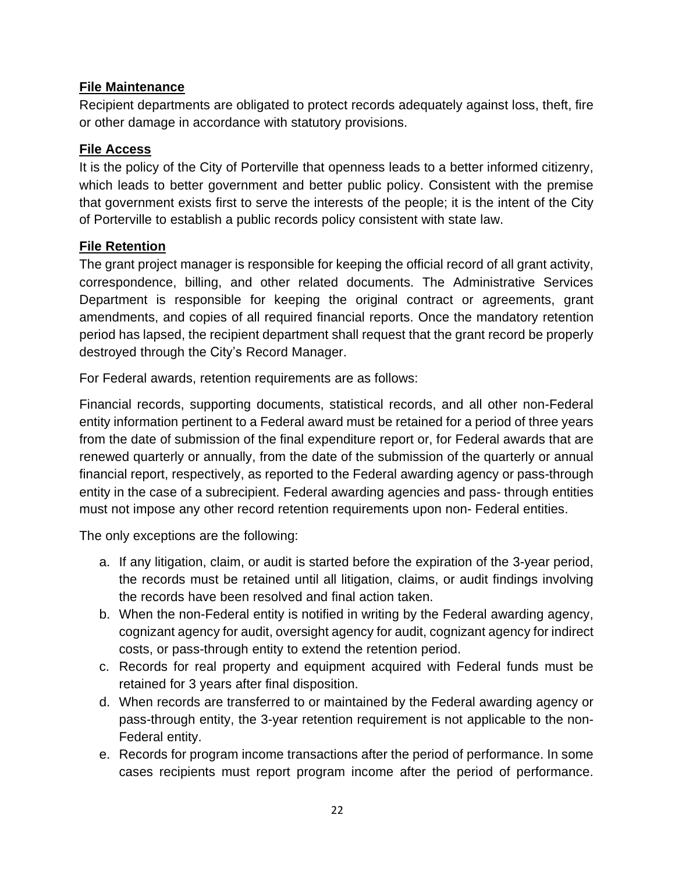#### <span id="page-21-0"></span>**File Maintenance**

Recipient departments are obligated to protect records adequately against loss, theft, fire or other damage in accordance with statutory provisions.

#### <span id="page-21-1"></span>**File Access**

It is the policy of the City of Porterville that openness leads to a better informed citizenry, which leads to better government and better public policy. Consistent with the premise that government exists first to serve the interests of the people; it is the intent of the City of Porterville to establish a public records policy consistent with state law.

#### <span id="page-21-2"></span>**File Retention**

The grant project manager is responsible for keeping the official record of all grant activity, correspondence, billing, and other related documents. The Administrative Services Department is responsible for keeping the original contract or agreements, grant amendments, and copies of all required financial reports. Once the mandatory retention period has lapsed, the recipient department shall request that the grant record be properly destroyed through the City's Record Manager.

For Federal awards, retention requirements are as follows:

Financial records, supporting documents, statistical records, and all other non-Federal entity information pertinent to a Federal award must be retained for a period of three years from the date of submission of the final expenditure report or, for Federal awards that are renewed quarterly or annually, from the date of the submission of the quarterly or annual financial report, respectively, as reported to the Federal awarding agency or pass-through entity in the case of a subrecipient. Federal awarding agencies and pass- through entities must not impose any other record retention requirements upon non- Federal entities.

The only exceptions are the following:

- a. If any litigation, claim, or audit is started before the expiration of the 3-year period, the records must be retained until all litigation, claims, or audit findings involving the records have been resolved and final action taken.
- b. When the non-Federal entity is notified in writing by the Federal awarding agency, cognizant agency for audit, oversight agency for audit, cognizant agency for indirect costs, or pass-through entity to extend the retention period.
- c. Records for real property and equipment acquired with Federal funds must be retained for 3 years after final disposition.
- d. When records are transferred to or maintained by the Federal awarding agency or pass-through entity, the 3-year retention requirement is not applicable to the non-Federal entity.
- e. Records for program income transactions after the period of performance. In some cases recipients must report program income after the period of performance.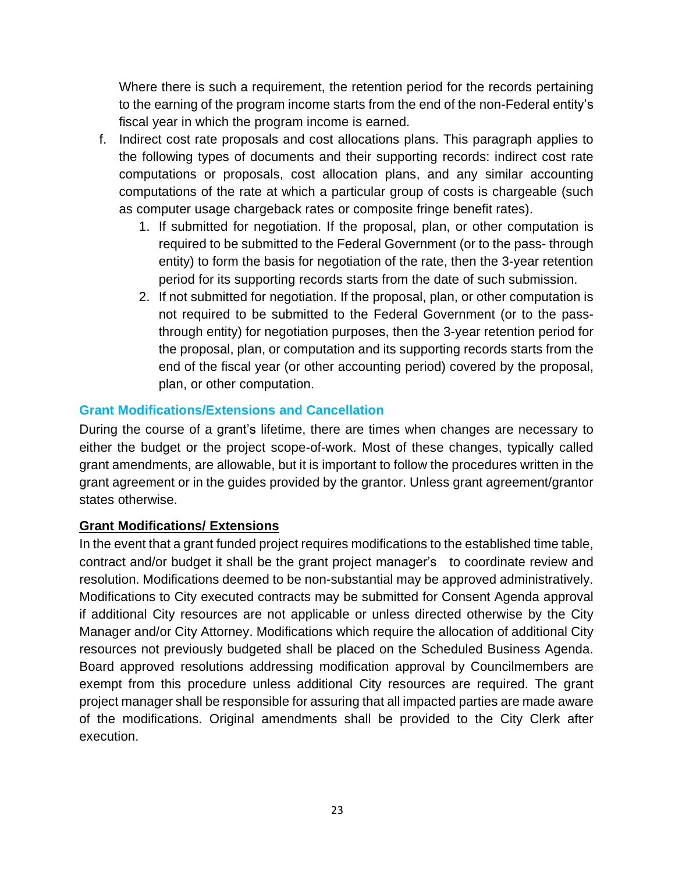Where there is such a requirement, the retention period for the records pertaining to the earning of the program income starts from the end of the non-Federal entity's fiscal year in which the program income is earned.

- f. Indirect cost rate proposals and cost allocations plans. This paragraph applies to the following types of documents and their supporting records: indirect cost rate computations or proposals, cost allocation plans, and any similar accounting computations of the rate at which a particular group of costs is chargeable (such as computer usage chargeback rates or composite fringe benefit rates).
	- 1. If submitted for negotiation. If the proposal, plan, or other computation is required to be submitted to the Federal Government (or to the pass- through entity) to form the basis for negotiation of the rate, then the 3-year retention period for its supporting records starts from the date of such submission.
	- 2. If not submitted for negotiation. If the proposal, plan, or other computation is not required to be submitted to the Federal Government (or to the passthrough entity) for negotiation purposes, then the 3-year retention period for the proposal, plan, or computation and its supporting records starts from the end of the fiscal year (or other accounting period) covered by the proposal, plan, or other computation.

#### <span id="page-22-0"></span>**Grant Modifications/Extensions and Cancellation**

During the course of a grant's lifetime, there are times when changes are necessary to either the budget or the project scope-of-work. Most of these changes, typically called grant amendments, are allowable, but it is important to follow the procedures written in the grant agreement or in the guides provided by the grantor. Unless grant agreement/grantor states otherwise.

#### <span id="page-22-1"></span>**Grant Modifications/ Extensions**

In the event that a grant funded project requires modifications to the established time table, contract and/or budget it shall be the grant project manager's to coordinate review and resolution. Modifications deemed to be non-substantial may be approved administratively. Modifications to City executed contracts may be submitted for Consent Agenda approval if additional City resources are not applicable or unless directed otherwise by the City Manager and/or City Attorney. Modifications which require the allocation of additional City resources not previously budgeted shall be placed on the Scheduled Business Agenda. Board approved resolutions addressing modification approval by Councilmembers are exempt from this procedure unless additional City resources are required. The grant project manager shall be responsible for assuring that all impacted parties are made aware of the modifications. Original amendments shall be provided to the City Clerk after execution.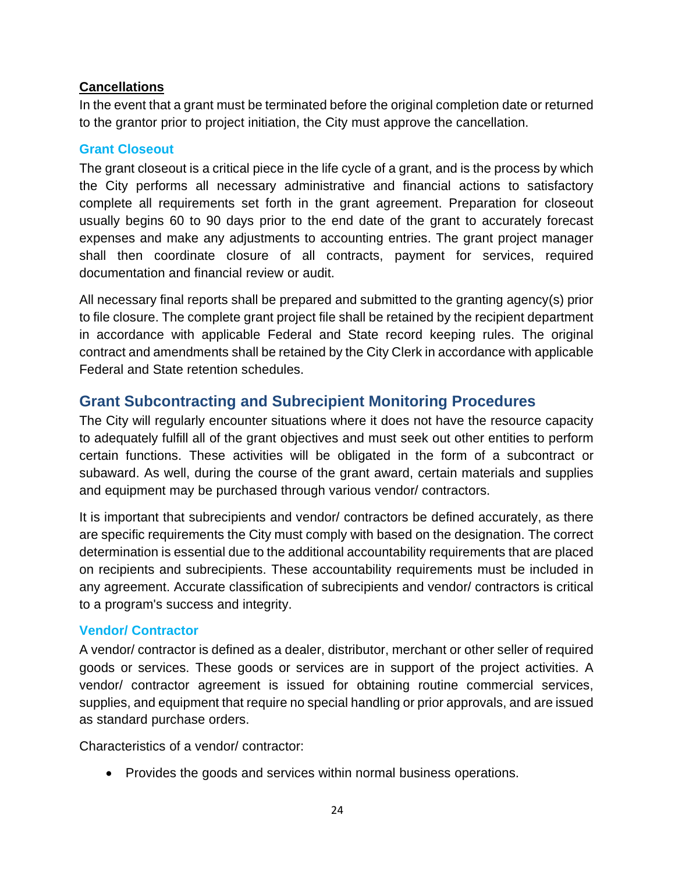#### <span id="page-23-0"></span>**Cancellations**

In the event that a grant must be terminated before the original completion date or returned to the grantor prior to project initiation, the City must approve the cancellation.

#### <span id="page-23-1"></span>**Grant Closeout**

The grant closeout is a critical piece in the life cycle of a grant, and is the process by which the City performs all necessary administrative and financial actions to satisfactory complete all requirements set forth in the grant agreement. Preparation for closeout usually begins 60 to 90 days prior to the end date of the grant to accurately forecast expenses and make any adjustments to accounting entries. The grant project manager shall then coordinate closure of all contracts, payment for services, required documentation and financial review or audit.

All necessary final reports shall be prepared and submitted to the granting agency(s) prior to file closure. The complete grant project file shall be retained by the recipient department in accordance with applicable Federal and State record keeping rules. The original contract and amendments shall be retained by the City Clerk in accordance with applicable Federal and State retention schedules.

## <span id="page-23-2"></span>**Grant Subcontracting and Subrecipient Monitoring Procedures**

The City will regularly encounter situations where it does not have the resource capacity to adequately fulfill all of the grant objectives and must seek out other entities to perform certain functions. These activities will be obligated in the form of a subcontract or subaward. As well, during the course of the grant award, certain materials and supplies and equipment may be purchased through various vendor/ contractors.

It is important that subrecipients and vendor/ contractors be defined accurately, as there are specific requirements the City must comply with based on the designation. The correct determination is essential due to the additional accountability requirements that are placed on recipients and subrecipients. These accountability requirements must be included in any agreement. Accurate classification of subrecipients and vendor/ contractors is critical to a program's success and integrity.

#### <span id="page-23-3"></span>**Vendor/ Contractor**

A vendor/ contractor is defined as a dealer, distributor, merchant or other seller of required goods or services. These goods or services are in support of the project activities. A vendor/ contractor agreement is issued for obtaining routine commercial services, supplies, and equipment that require no special handling or prior approvals, and are issued as standard purchase orders.

Characteristics of a vendor/ contractor:

Provides the goods and services within normal business operations.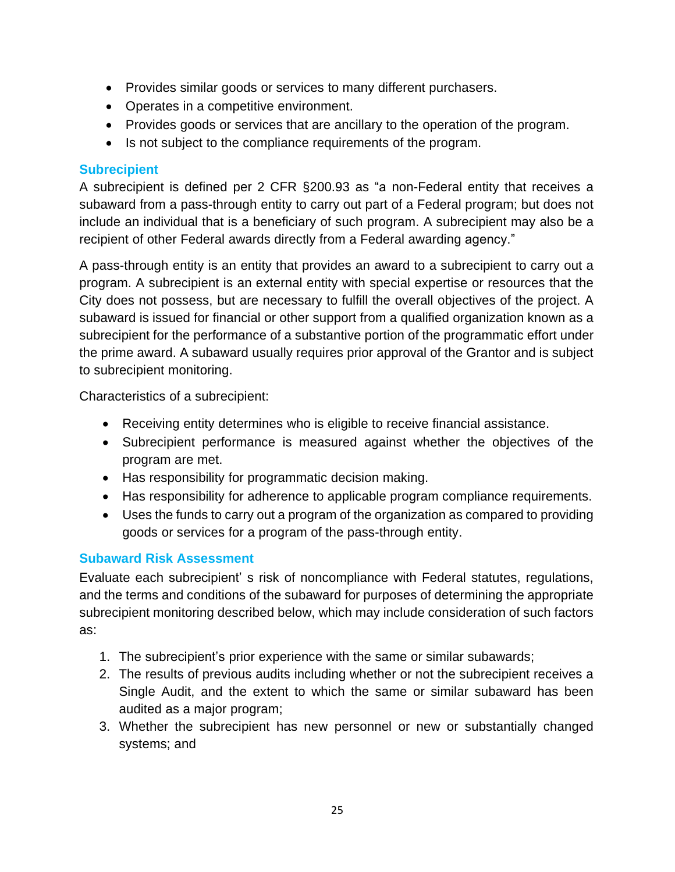- Provides similar goods or services to many different purchasers.
- Operates in a competitive environment.
- Provides goods or services that are ancillary to the operation of the program.
- Is not subject to the compliance requirements of the program.

#### <span id="page-24-0"></span>**Subrecipient**

A subrecipient is defined per 2 CFR §200.93 as "a non-Federal entity that receives a subaward from a pass-through entity to carry out part of a Federal program; but does not include an individual that is a beneficiary of such program. A subrecipient may also be a recipient of other Federal awards directly from a Federal awarding agency."

A pass-through entity is an entity that provides an award to a subrecipient to carry out a program. A subrecipient is an external entity with special expertise or resources that the City does not possess, but are necessary to fulfill the overall objectives of the project. A subaward is issued for financial or other support from a qualified organization known as a subrecipient for the performance of a substantive portion of the programmatic effort under the prime award. A subaward usually requires prior approval of the Grantor and is subject to subrecipient monitoring.

Characteristics of a subrecipient:

- Receiving entity determines who is eligible to receive financial assistance.
- Subrecipient performance is measured against whether the objectives of the program are met.
- Has responsibility for programmatic decision making.
- Has responsibility for adherence to applicable program compliance requirements.
- Uses the funds to carry out a program of the organization as compared to providing goods or services for a program of the pass-through entity.

## <span id="page-24-1"></span>**Subaward Risk Assessment**

Evaluate each subrecipient' s risk of noncompliance with Federal statutes, regulations, and the terms and conditions of the subaward for purposes of determining the appropriate subrecipient monitoring described below, which may include consideration of such factors as:

- 1. The subrecipient's prior experience with the same or similar subawards;
- 2. The results of previous audits including whether or not the subrecipient receives a Single Audit, and the extent to which the same or similar subaward has been audited as a major program;
- 3. Whether the subrecipient has new personnel or new or substantially changed systems; and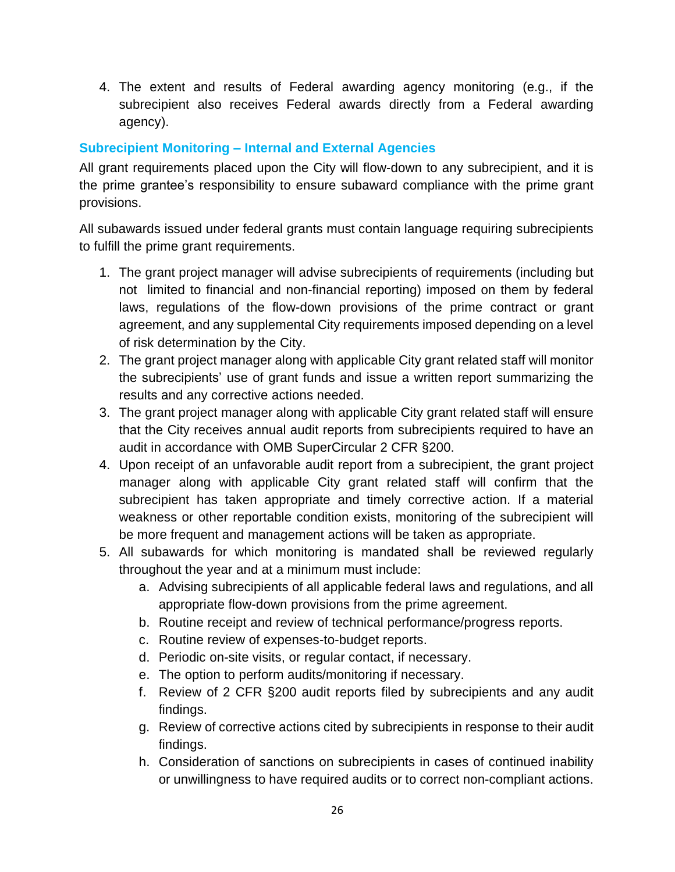4. The extent and results of Federal awarding agency monitoring (e.g., if the subrecipient also receives Federal awards directly from a Federal awarding agency).

### <span id="page-25-0"></span>**Subrecipient Monitoring – Internal and External Agencies**

All grant requirements placed upon the City will flow-down to any subrecipient, and it is the prime grantee's responsibility to ensure subaward compliance with the prime grant provisions.

All subawards issued under federal grants must contain language requiring subrecipients to fulfill the prime grant requirements.

- 1. The grant project manager will advise subrecipients of requirements (including but not limited to financial and non-financial reporting) imposed on them by federal laws, regulations of the flow-down provisions of the prime contract or grant agreement, and any supplemental City requirements imposed depending on a level of risk determination by the City.
- 2. The grant project manager along with applicable City grant related staff will monitor the subrecipients' use of grant funds and issue a written report summarizing the results and any corrective actions needed.
- 3. The grant project manager along with applicable City grant related staff will ensure that the City receives annual audit reports from subrecipients required to have an audit in accordance with OMB SuperCircular 2 CFR §200.
- 4. Upon receipt of an unfavorable audit report from a subrecipient, the grant project manager along with applicable City grant related staff will confirm that the subrecipient has taken appropriate and timely corrective action. If a material weakness or other reportable condition exists, monitoring of the subrecipient will be more frequent and management actions will be taken as appropriate.
- 5. All subawards for which monitoring is mandated shall be reviewed regularly throughout the year and at a minimum must include:
	- a. Advising subrecipients of all applicable federal laws and regulations, and all appropriate flow-down provisions from the prime agreement.
	- b. Routine receipt and review of technical performance/progress reports.
	- c. Routine review of expenses-to-budget reports.
	- d. Periodic on-site visits, or regular contact, if necessary.
	- e. The option to perform audits/monitoring if necessary.
	- f. Review of 2 CFR §200 audit reports filed by subrecipients and any audit findings.
	- g. Review of corrective actions cited by subrecipients in response to their audit findings.
	- h. Consideration of sanctions on subrecipients in cases of continued inability or unwillingness to have required audits or to correct non-compliant actions.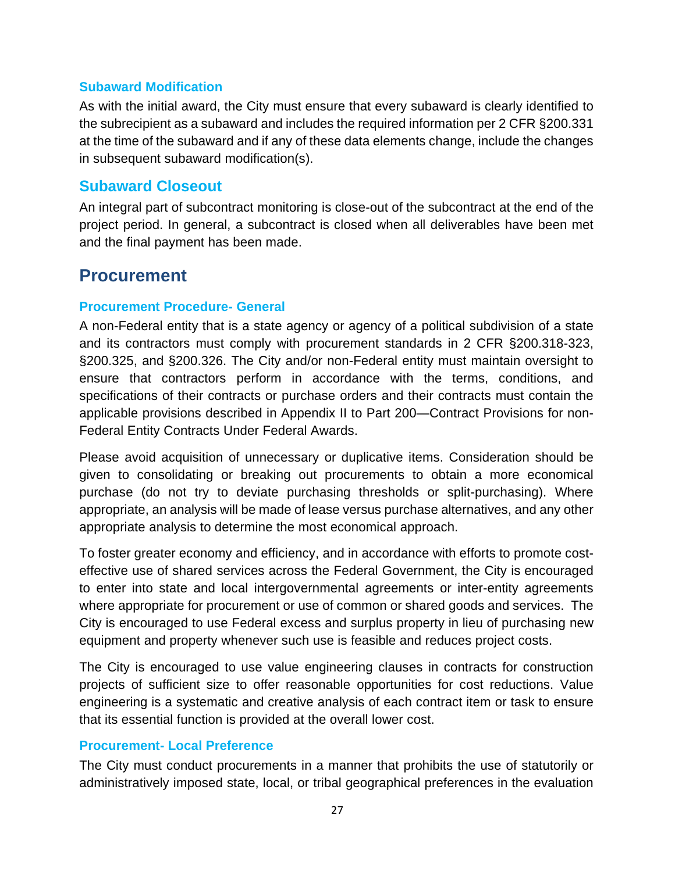#### <span id="page-26-0"></span>**Subaward Modification**

As with the initial award, the City must ensure that every subaward is clearly identified to the subrecipient as a subaward and includes the required information per 2 CFR §200.331 at the time of the subaward and if any of these data elements change, include the changes in subsequent subaward modification(s).

## <span id="page-26-1"></span>**Subaward Closeout**

An integral part of subcontract monitoring is close-out of the subcontract at the end of the project period. In general, a subcontract is closed when all deliverables have been met and the final payment has been made.

## <span id="page-26-2"></span>**Procurement**

#### <span id="page-26-3"></span>**Procurement Procedure- General**

A non-Federal entity that is a state agency or agency of a political subdivision of a state and its contractors must comply with procurement standards in 2 CFR §200.318-323, §200.325, and §200.326. The City and/or non-Federal entity must maintain oversight to ensure that contractors perform in accordance with the terms, conditions, and specifications of their contracts or purchase orders and their contracts must contain the applicable provisions described in Appendix II to Part 200—Contract Provisions for non-Federal Entity Contracts Under Federal Awards.

Please avoid acquisition of unnecessary or duplicative items. Consideration should be given to consolidating or breaking out procurements to obtain a more economical purchase (do not try to deviate purchasing thresholds or split-purchasing). Where appropriate, an analysis will be made of lease versus purchase alternatives, and any other appropriate analysis to determine the most economical approach.

To foster greater economy and efficiency, and in accordance with efforts to promote costeffective use of shared services across the Federal Government, the City is encouraged to enter into state and local intergovernmental agreements or inter-entity agreements where appropriate for procurement or use of common or shared goods and services. The City is encouraged to use Federal excess and surplus property in lieu of purchasing new equipment and property whenever such use is feasible and reduces project costs.

The City is encouraged to use value engineering clauses in contracts for construction projects of sufficient size to offer reasonable opportunities for cost reductions. Value engineering is a systematic and creative analysis of each contract item or task to ensure that its essential function is provided at the overall lower cost.

#### <span id="page-26-4"></span>**Procurement- Local Preference**

The City must conduct procurements in a manner that prohibits the use of statutorily or administratively imposed state, local, or tribal geographical preferences in the evaluation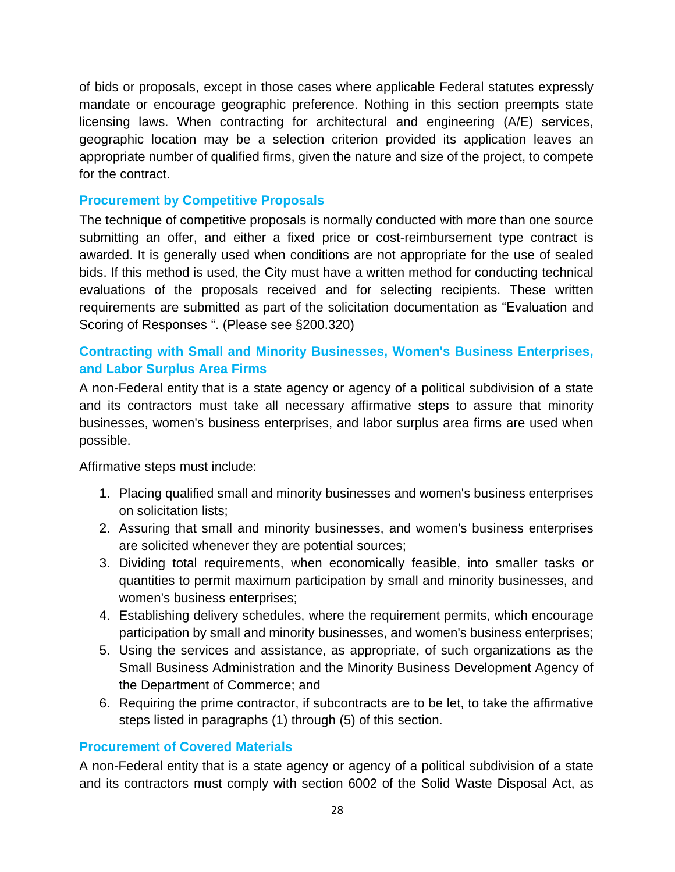of bids or proposals, except in those cases where applicable Federal statutes expressly mandate or encourage geographic preference. Nothing in this section preempts state licensing laws. When contracting for architectural and engineering (A/E) services, geographic location may be a selection criterion provided its application leaves an appropriate number of qualified firms, given the nature and size of the project, to compete for the contract.

#### <span id="page-27-0"></span>**Procurement by Competitive Proposals**

The technique of competitive proposals is normally conducted with more than one source submitting an offer, and either a fixed price or cost-reimbursement type contract is awarded. It is generally used when conditions are not appropriate for the use of sealed bids. If this method is used, the City must have a written method for conducting technical evaluations of the proposals received and for selecting recipients. These written requirements are submitted as part of the solicitation documentation as "Evaluation and Scoring of Responses ". (Please see §200.320)

#### <span id="page-27-1"></span>**Contracting with Small and Minority Businesses, Women's Business Enterprises, and Labor Surplus Area Firms**

A non-Federal entity that is a state agency or agency of a political subdivision of a state and its contractors must take all necessary affirmative steps to assure that minority businesses, women's business enterprises, and labor surplus area firms are used when possible.

Affirmative steps must include:

- 1. Placing qualified small and minority businesses and women's business enterprises on solicitation lists;
- 2. Assuring that small and minority businesses, and women's business enterprises are solicited whenever they are potential sources;
- 3. Dividing total requirements, when economically feasible, into smaller tasks or quantities to permit maximum participation by small and minority businesses, and women's business enterprises;
- 4. Establishing delivery schedules, where the requirement permits, which encourage participation by small and minority businesses, and women's business enterprises;
- 5. Using the services and assistance, as appropriate, of such organizations as the Small Business Administration and the Minority Business Development Agency of the Department of Commerce; and
- 6. Requiring the prime contractor, if subcontracts are to be let, to take the affirmative steps listed in paragraphs (1) through (5) of this section.

#### <span id="page-27-2"></span>**Procurement of Covered Materials**

A non-Federal entity that is a state agency or agency of a political subdivision of a state and its contractors must comply with section 6002 of the Solid Waste Disposal Act, as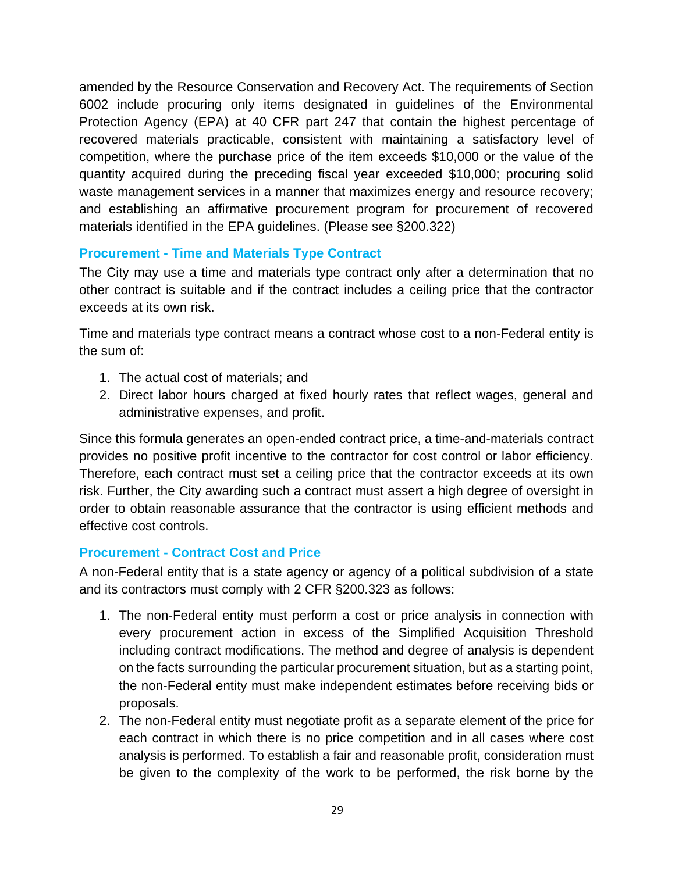amended by the Resource Conservation and Recovery Act. The requirements of Section 6002 include procuring only items designated in guidelines of the Environmental Protection Agency (EPA) at 40 CFR part 247 that contain the highest percentage of recovered materials practicable, consistent with maintaining a satisfactory level of competition, where the purchase price of the item exceeds \$10,000 or the value of the quantity acquired during the preceding fiscal year exceeded \$10,000; procuring solid waste management services in a manner that maximizes energy and resource recovery; and establishing an affirmative procurement program for procurement of recovered materials identified in the EPA guidelines. (Please see §200.322)

#### <span id="page-28-0"></span>**Procurement - Time and Materials Type Contract**

The City may use a time and materials type contract only after a determination that no other contract is suitable and if the contract includes a ceiling price that the contractor exceeds at its own risk.

Time and materials type contract means a contract whose cost to a non-Federal entity is the sum of:

- 1. The actual cost of materials; and
- 2. Direct labor hours charged at fixed hourly rates that reflect wages, general and administrative expenses, and profit.

Since this formula generates an open-ended contract price, a time-and-materials contract provides no positive profit incentive to the contractor for cost control or labor efficiency. Therefore, each contract must set a ceiling price that the contractor exceeds at its own risk. Further, the City awarding such a contract must assert a high degree of oversight in order to obtain reasonable assurance that the contractor is using efficient methods and effective cost controls.

#### <span id="page-28-1"></span>**Procurement - Contract Cost and Price**

A non-Federal entity that is a state agency or agency of a political subdivision of a state and its contractors must comply with 2 CFR §200.323 as follows:

- 1. The non-Federal entity must perform a cost or price analysis in connection with every procurement action in excess of the Simplified Acquisition Threshold including contract modifications. The method and degree of analysis is dependent on the facts surrounding the particular procurement situation, but as a starting point, the non-Federal entity must make independent estimates before receiving bids or proposals.
- 2. The non-Federal entity must negotiate profit as a separate element of the price for each contract in which there is no price competition and in all cases where cost analysis is performed. To establish a fair and reasonable profit, consideration must be given to the complexity of the work to be performed, the risk borne by the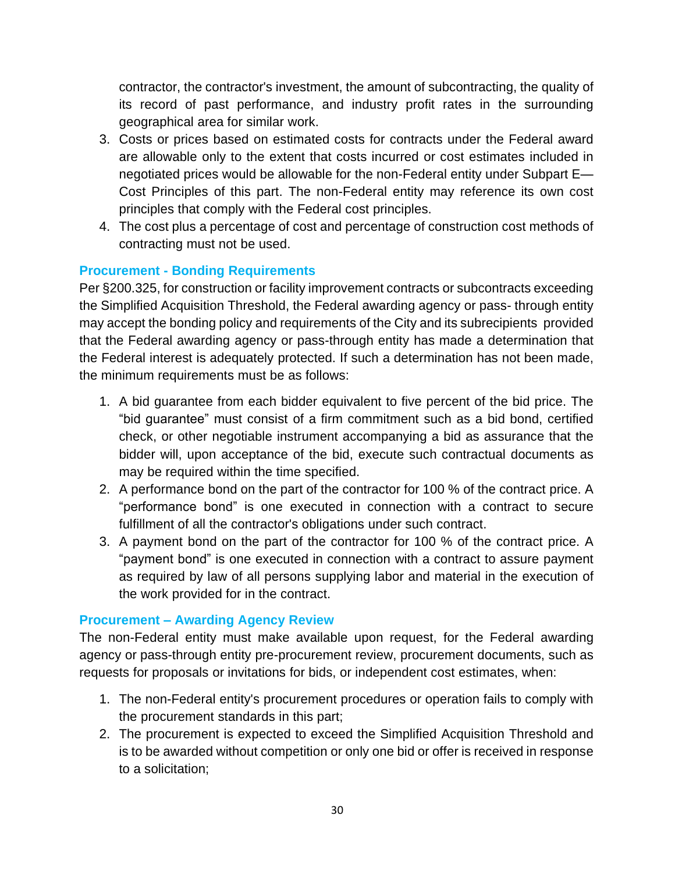contractor, the contractor's investment, the amount of subcontracting, the quality of its record of past performance, and industry profit rates in the surrounding geographical area for similar work.

- 3. Costs or prices based on estimated costs for contracts under the Federal award are allowable only to the extent that costs incurred or cost estimates included in negotiated prices would be allowable for the non-Federal entity under Subpart E— Cost Principles of this part. The non-Federal entity may reference its own cost principles that comply with the Federal cost principles.
- 4. The cost plus a percentage of cost and percentage of construction cost methods of contracting must not be used.

#### <span id="page-29-0"></span>**Procurement - Bonding Requirements**

Per §200.325, for construction or facility improvement contracts or subcontracts exceeding the Simplified Acquisition Threshold, the Federal awarding agency or pass- through entity may accept the bonding policy and requirements of the City and its subrecipients provided that the Federal awarding agency or pass-through entity has made a determination that the Federal interest is adequately protected. If such a determination has not been made, the minimum requirements must be as follows:

- 1. A bid guarantee from each bidder equivalent to five percent of the bid price. The "bid guarantee" must consist of a firm commitment such as a bid bond, certified check, or other negotiable instrument accompanying a bid as assurance that the bidder will, upon acceptance of the bid, execute such contractual documents as may be required within the time specified.
- 2. A performance bond on the part of the contractor for 100 % of the contract price. A "performance bond" is one executed in connection with a contract to secure fulfillment of all the contractor's obligations under such contract.
- 3. A payment bond on the part of the contractor for 100 % of the contract price. A "payment bond" is one executed in connection with a contract to assure payment as required by law of all persons supplying labor and material in the execution of the work provided for in the contract.

#### <span id="page-29-1"></span>**Procurement – Awarding Agency Review**

The non-Federal entity must make available upon request, for the Federal awarding agency or pass-through entity pre-procurement review, procurement documents, such as requests for proposals or invitations for bids, or independent cost estimates, when:

- 1. The non-Federal entity's procurement procedures or operation fails to comply with the procurement standards in this part;
- 2. The procurement is expected to exceed the Simplified Acquisition Threshold and is to be awarded without competition or only one bid or offer is received in response to a solicitation;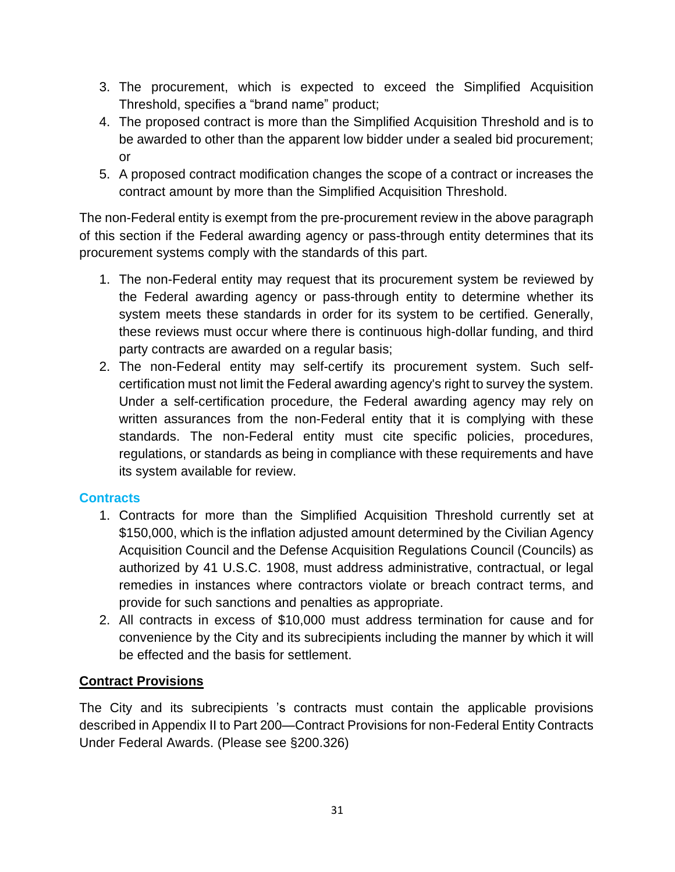- 3. The procurement, which is expected to exceed the Simplified Acquisition Threshold, specifies a "brand name" product;
- 4. The proposed contract is more than the Simplified Acquisition Threshold and is to be awarded to other than the apparent low bidder under a sealed bid procurement; or
- 5. A proposed contract modification changes the scope of a contract or increases the contract amount by more than the Simplified Acquisition Threshold.

The non-Federal entity is exempt from the pre-procurement review in the above paragraph of this section if the Federal awarding agency or pass-through entity determines that its procurement systems comply with the standards of this part.

- 1. The non-Federal entity may request that its procurement system be reviewed by the Federal awarding agency or pass-through entity to determine whether its system meets these standards in order for its system to be certified. Generally, these reviews must occur where there is continuous high-dollar funding, and third party contracts are awarded on a regular basis;
- 2. The non-Federal entity may self-certify its procurement system. Such selfcertification must not limit the Federal awarding agency's right to survey the system. Under a self-certification procedure, the Federal awarding agency may rely on written assurances from the non-Federal entity that it is complying with these standards. The non-Federal entity must cite specific policies, procedures, regulations, or standards as being in compliance with these requirements and have its system available for review.

#### <span id="page-30-0"></span>**Contracts**

- 1. Contracts for more than the Simplified Acquisition Threshold currently set at \$150,000, which is the inflation adjusted amount determined by the Civilian Agency Acquisition Council and the Defense Acquisition Regulations Council (Councils) as authorized by 41 U.S.C. 1908, must address administrative, contractual, or legal remedies in instances where contractors violate or breach contract terms, and provide for such sanctions and penalties as appropriate.
- 2. All contracts in excess of \$10,000 must address termination for cause and for convenience by the City and its subrecipients including the manner by which it will be effected and the basis for settlement.

#### **Contract Provisions**

The City and its subrecipients 's contracts must contain the applicable provisions described in Appendix II to Part 200—Contract Provisions for non-Federal Entity Contracts Under Federal Awards. (Please see §200.326)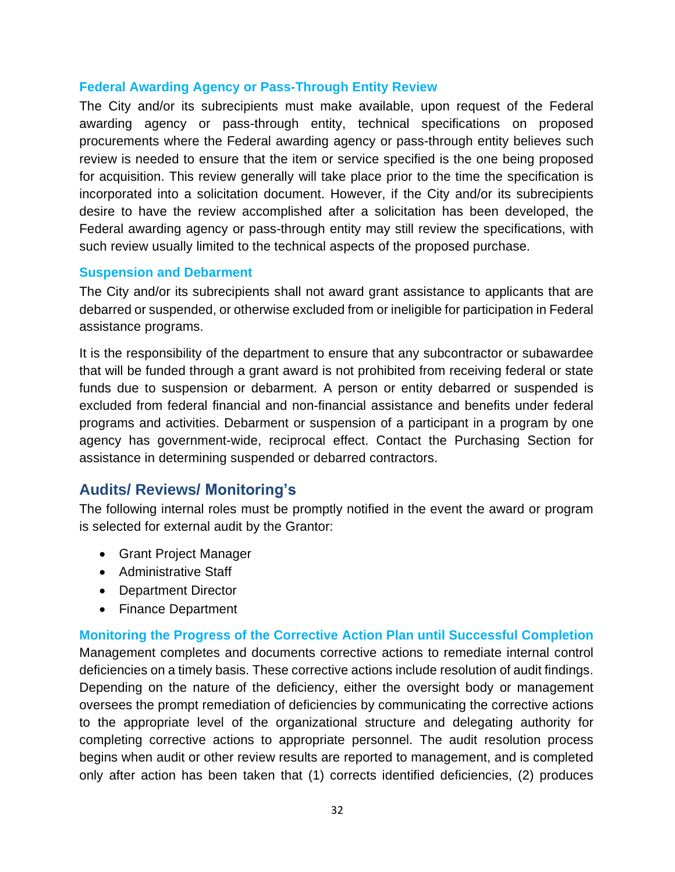#### <span id="page-31-0"></span>**Federal Awarding Agency or Pass-Through Entity Review**

The City and/or its subrecipients must make available, upon request of the Federal awarding agency or pass-through entity, technical specifications on proposed procurements where the Federal awarding agency or pass-through entity believes such review is needed to ensure that the item or service specified is the one being proposed for acquisition. This review generally will take place prior to the time the specification is incorporated into a solicitation document. However, if the City and/or its subrecipients desire to have the review accomplished after a solicitation has been developed, the Federal awarding agency or pass-through entity may still review the specifications, with such review usually limited to the technical aspects of the proposed purchase.

#### <span id="page-31-1"></span>**Suspension and Debarment**

The City and/or its subrecipients shall not award grant assistance to applicants that are debarred or suspended, or otherwise excluded from or ineligible for participation in Federal assistance programs.

It is the responsibility of the department to ensure that any subcontractor or subawardee that will be funded through a grant award is not prohibited from receiving federal or state funds due to suspension or debarment. A person or entity debarred or suspended is excluded from federal financial and non-financial assistance and benefits under federal programs and activities. Debarment or suspension of a participant in a program by one agency has government-wide, reciprocal effect. Contact the Purchasing Section for assistance in determining suspended or debarred contractors.

## <span id="page-31-2"></span>**Audits/ Reviews/ Monitoring's**

The following internal roles must be promptly notified in the event the award or program is selected for external audit by the Grantor:

- Grant Project Manager
- Administrative Staff
- Department Director
- Finance Department

<span id="page-31-3"></span>**Monitoring the Progress of the Corrective Action Plan until Successful Completion** Management completes and documents corrective actions to remediate internal control deficiencies on a timely basis. These corrective actions include resolution of audit findings. Depending on the nature of the deficiency, either the oversight body or management oversees the prompt remediation of deficiencies by communicating the corrective actions to the appropriate level of the organizational structure and delegating authority for completing corrective actions to appropriate personnel. The audit resolution process begins when audit or other review results are reported to management, and is completed only after action has been taken that (1) corrects identified deficiencies, (2) produces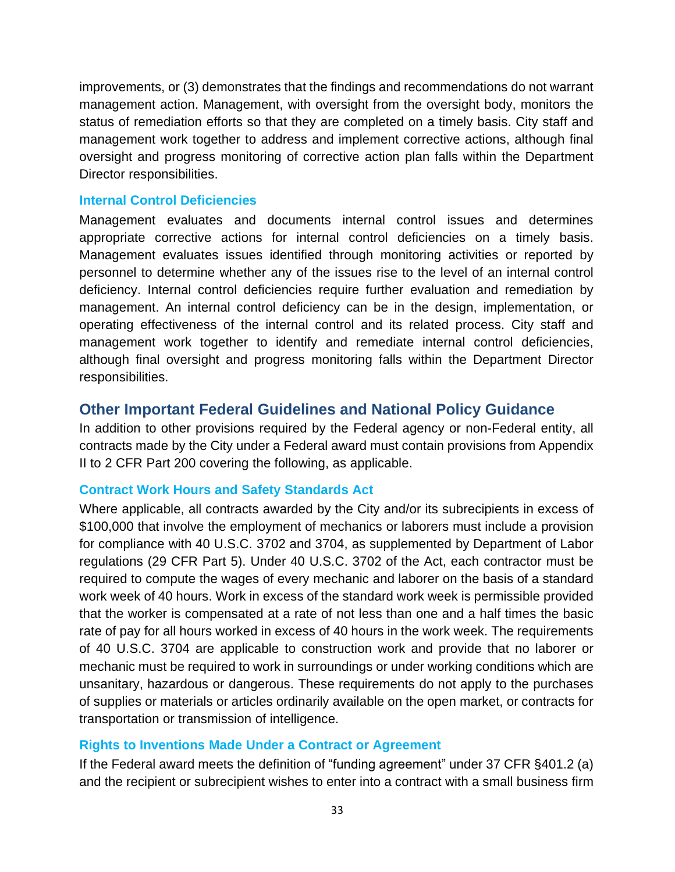improvements, or (3) demonstrates that the findings and recommendations do not warrant management action. Management, with oversight from the oversight body, monitors the status of remediation efforts so that they are completed on a timely basis. City staff and management work together to address and implement corrective actions, although final oversight and progress monitoring of corrective action plan falls within the Department Director responsibilities.

#### <span id="page-32-0"></span>**Internal Control Deficiencies**

Management evaluates and documents internal control issues and determines appropriate corrective actions for internal control deficiencies on a timely basis. Management evaluates issues identified through monitoring activities or reported by personnel to determine whether any of the issues rise to the level of an internal control deficiency. Internal control deficiencies require further evaluation and remediation by management. An internal control deficiency can be in the design, implementation, or operating effectiveness of the internal control and its related process. City staff and management work together to identify and remediate internal control deficiencies, although final oversight and progress monitoring falls within the Department Director responsibilities.

#### <span id="page-32-1"></span>**Other Important Federal Guidelines and National Policy Guidance**

In addition to other provisions required by the Federal agency or non-Federal entity, all contracts made by the City under a Federal award must contain provisions from Appendix II to 2 CFR Part 200 covering the following, as applicable.

#### <span id="page-32-2"></span>**Contract Work Hours and Safety Standards Act**

Where applicable, all contracts awarded by the City and/or its subrecipients in excess of \$100,000 that involve the employment of mechanics or laborers must include a provision for compliance with 40 U.S.C. 3702 and 3704, as supplemented by Department of Labor regulations (29 CFR Part 5). Under 40 U.S.C. 3702 of the Act, each contractor must be required to compute the wages of every mechanic and laborer on the basis of a standard work week of 40 hours. Work in excess of the standard work week is permissible provided that the worker is compensated at a rate of not less than one and a half times the basic rate of pay for all hours worked in excess of 40 hours in the work week. The requirements of 40 U.S.C. 3704 are applicable to construction work and provide that no laborer or mechanic must be required to work in surroundings or under working conditions which are unsanitary, hazardous or dangerous. These requirements do not apply to the purchases of supplies or materials or articles ordinarily available on the open market, or contracts for transportation or transmission of intelligence.

#### <span id="page-32-3"></span>**Rights to Inventions Made Under a Contract or Agreement**

If the Federal award meets the definition of "funding agreement" under 37 CFR §401.2 (a) and the recipient or subrecipient wishes to enter into a contract with a small business firm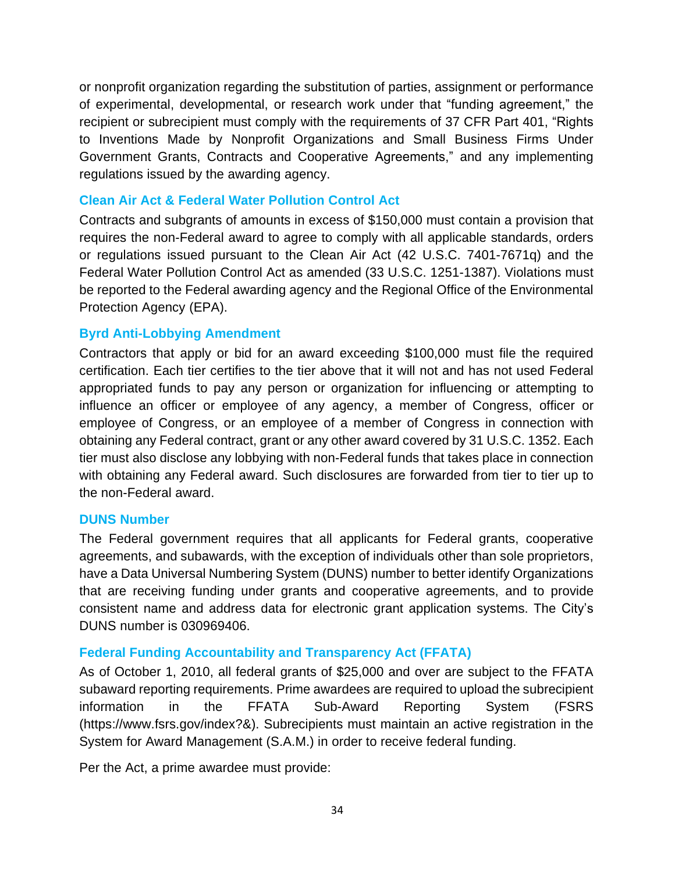or nonprofit organization regarding the substitution of parties, assignment or performance of experimental, developmental, or research work under that "funding agreement," the recipient or subrecipient must comply with the requirements of 37 CFR Part 401, "Rights to Inventions Made by Nonprofit Organizations and Small Business Firms Under Government Grants, Contracts and Cooperative Agreements," and any implementing regulations issued by the awarding agency.

#### <span id="page-33-0"></span>**Clean Air Act & Federal Water Pollution Control Act**

Contracts and subgrants of amounts in excess of \$150,000 must contain a provision that requires the non-Federal award to agree to comply with all applicable standards, orders or regulations issued pursuant to the Clean Air Act (42 U.S.C. 7401-7671q) and the Federal Water Pollution Control Act as amended (33 U.S.C. 1251-1387). Violations must be reported to the Federal awarding agency and the Regional Office of the Environmental Protection Agency (EPA).

#### <span id="page-33-1"></span>**Byrd Anti-Lobbying Amendment**

Contractors that apply or bid for an award exceeding \$100,000 must file the required certification. Each tier certifies to the tier above that it will not and has not used Federal appropriated funds to pay any person or organization for influencing or attempting to influence an officer or employee of any agency, a member of Congress, officer or employee of Congress, or an employee of a member of Congress in connection with obtaining any Federal contract, grant or any other award covered by 31 U.S.C. 1352. Each tier must also disclose any lobbying with non-Federal funds that takes place in connection with obtaining any Federal award. Such disclosures are forwarded from tier to tier up to the non-Federal award.

#### <span id="page-33-2"></span>**DUNS Number**

The Federal government requires that all applicants for Federal grants, cooperative agreements, and subawards, with the exception of individuals other than sole proprietors, have a Data Universal Numbering System (DUNS) number to better identify Organizations that are receiving funding under grants and cooperative agreements, and to provide consistent name and address data for electronic grant application systems. The City's DUNS number is 030969406.

#### <span id="page-33-3"></span>**Federal Funding Accountability and Transparency Act (FFATA)**

As of October 1, 2010, all federal grants of \$25,000 and over are subject to the FFATA subaward reporting requirements. Prime awardees are required to upload the subrecipient information in the FFATA Sub-Award Reporting System (FSR[S](http://www.fsrs.gov/index) [\(https://www.fsrs.gov/index?&\).](http://www.fsrs.gov/index) Subrecipients must maintain an active registration in the System for Award [Management](http://www.fsrs.gov/index) (S.A.M.) in order to receive federal funding.

Per the Act, a prime awardee must provide: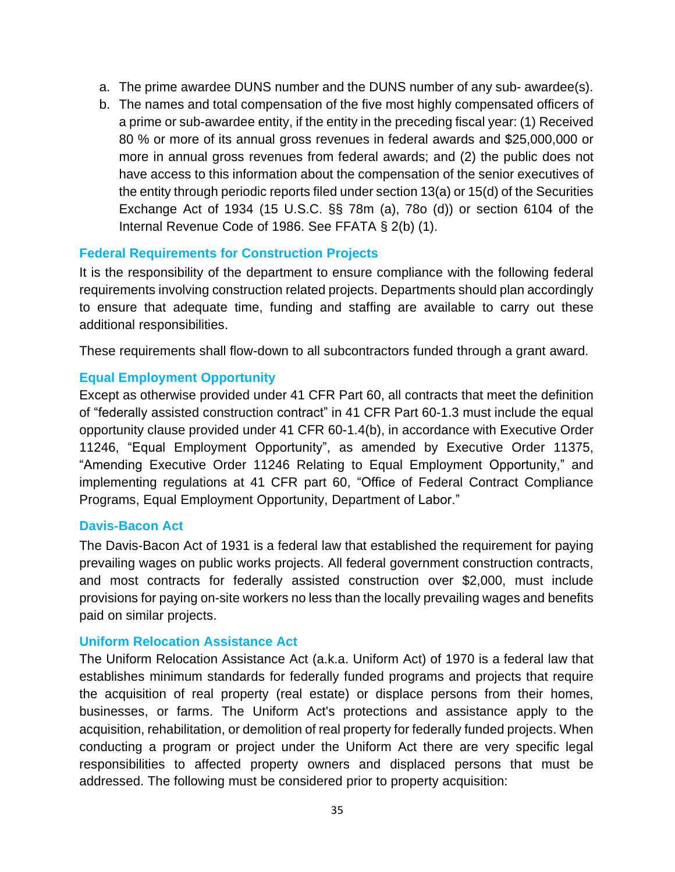- a. The prime awardee DUNS number and the DUNS number of any sub- awardee(s).
- b. The names and total compensation of the five most highly compensated officers of a prime or sub-awardee entity, if the entity in the preceding fiscal year: (1) Received 80 % or more of its annual gross revenues in federal awards and \$25,000,000 or more in annual gross revenues from federal awards; and (2) the public does not have access to this information about the compensation of the senior executives of the entity through periodic reports filed under section 13(a) or 15(d) of the Securities Exchange Act of 1934 (15 U.S.C. §§ 78m (a), 78o (d)) or section 6104 of the Internal Revenue Code of 1986. See FFATA § 2(b) (1).

#### <span id="page-34-0"></span>**Federal Requirements for Construction Projects**

It is the responsibility of the department to ensure compliance with the following federal requirements involving construction related projects. Departments should plan accordingly to ensure that adequate time, funding and staffing are available to carry out these additional responsibilities.

These requirements shall flow-down to all subcontractors funded through a grant award.

#### <span id="page-34-1"></span>**Equal Employment Opportunity**

Except as otherwise provided under 41 CFR Part 60, all contracts that meet the definition of "federally assisted construction contract" in 41 CFR Part 60-1.3 must include the equal opportunity clause provided under 41 CFR 60-1.4(b), in accordance with Executive Order 11246, "Equal Employment Opportunity", as amended by Executive Order 11375, "Amending Executive Order 11246 Relating to Equal Employment Opportunity," and implementing regulations at 41 CFR part 60, "Office of Federal Contract Compliance Programs, Equal Employment Opportunity, Department of Labor."

#### <span id="page-34-2"></span>**Davis-Bacon Act**

The Davis-Bacon Act of 1931 is a federal law that established the requirement for paying prevailing wages on public works projects. All federal government construction contracts, and most contracts for federally assisted construction over \$2,000, must include provisions for paying on-site workers no less than the locally prevailing wages and benefits paid on similar projects.

#### <span id="page-34-3"></span>**Uniform Relocation Assistance Act**

The Uniform Relocation Assistance Act (a.k.a. Uniform Act) of 1970 is a federal law that establishes minimum standards for federally funded programs and projects that require the acquisition of real property (real estate) or displace persons from their homes, businesses, or farms. The Uniform Act's protections and assistance apply to the acquisition, rehabilitation, or demolition of real property for federally funded projects. When conducting a program or project under the Uniform Act there are very specific legal responsibilities to affected property owners and displaced persons that must be addressed. The following must be considered prior to property acquisition: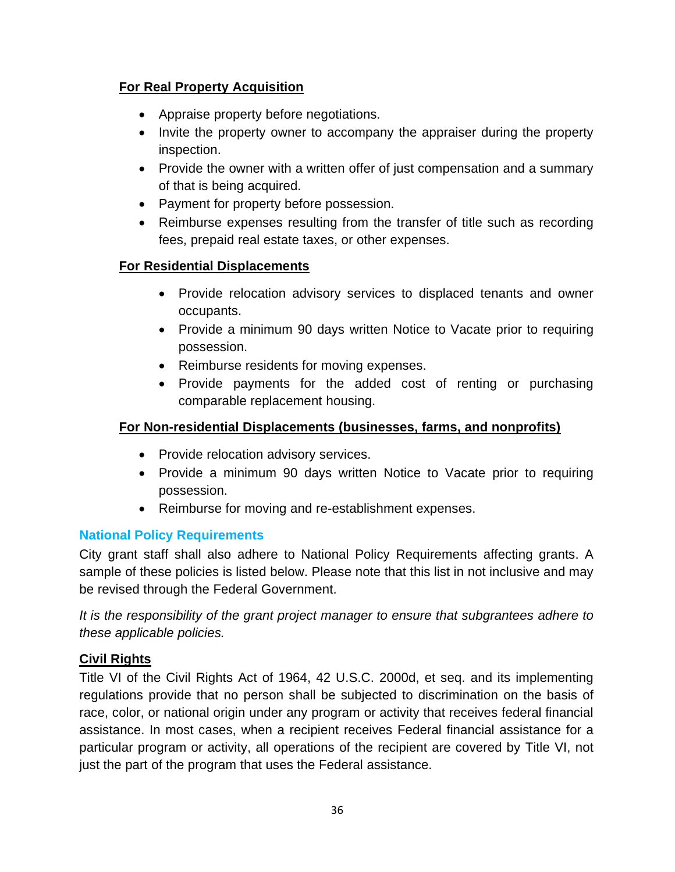#### **For Real Property Acquisition**

- Appraise property before negotiations.
- Invite the property owner to accompany the appraiser during the property inspection.
- Provide the owner with a written offer of just compensation and a summary of that is being acquired.
- Payment for property before possession.
- Reimburse expenses resulting from the transfer of title such as recording fees, prepaid real estate taxes, or other expenses.

## **For Residential Displacements**

- Provide relocation advisory services to displaced tenants and owner occupants.
- Provide a minimum 90 days written Notice to Vacate prior to requiring possession.
- Reimburse residents for moving expenses.
- Provide payments for the added cost of renting or purchasing comparable replacement housing.

#### **For Non-residential Displacements (businesses, farms, and nonprofits)**

- Provide relocation advisory services.
- Provide a minimum 90 days written Notice to Vacate prior to requiring possession.
- Reimburse for moving and re-establishment expenses.

#### <span id="page-35-0"></span>**National Policy Requirements**

City grant staff shall also adhere to National Policy Requirements affecting grants. A sample of these policies is listed below. Please note that this list in not inclusive and may be revised through the Federal Government.

*It is the responsibility of the grant project manager to ensure that subgrantees adhere to these applicable policies.*

#### <span id="page-35-1"></span>**Civil Rights**

Title VI of the Civil Rights Act of 1964, 42 U.S.C. 2000d, et seq. and its implementing regulations provide that no person shall be subjected to discrimination on the basis of race, color, or national origin under any program or activity that receives federal financial assistance. In most cases, when a recipient receives Federal financial assistance for a particular program or activity, all operations of the recipient are covered by Title VI, not just the part of the program that uses the Federal assistance.